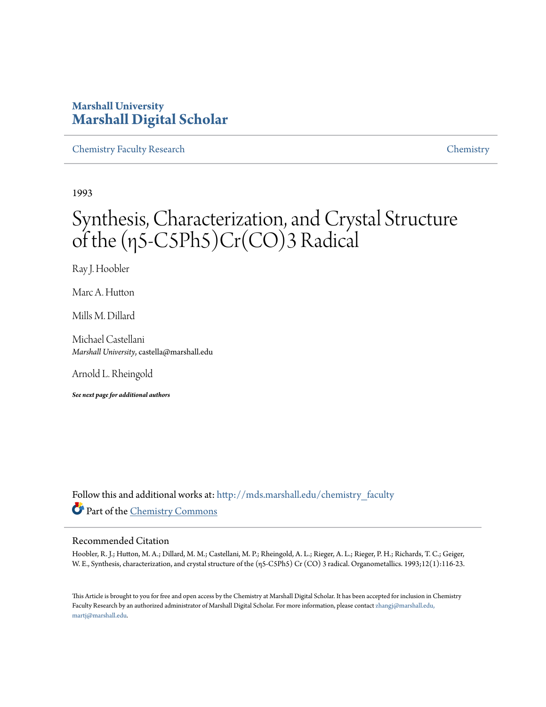### **Marshall University [Marshall Digital Scholar](http://mds.marshall.edu?utm_source=mds.marshall.edu%2Fchemistry_faculty%2F22&utm_medium=PDF&utm_campaign=PDFCoverPages)**

[Chemistry Faculty Research](http://mds.marshall.edu/chemistry_faculty?utm_source=mds.marshall.edu%2Fchemistry_faculty%2F22&utm_medium=PDF&utm_campaign=PDFCoverPages) [Chemistry](http://mds.marshall.edu/chemistry?utm_source=mds.marshall.edu%2Fchemistry_faculty%2F22&utm_medium=PDF&utm_campaign=PDFCoverPages)

1993

# Synthesis, Characterization, and Crystal Structure of the (η5-C5Ph5)Cr(CO)3 Radical

Ray J. Hoobler

Marc A. Hutton

Mills M. Dillard

Michael Castellani *Marshall University*, castella@marshall.edu

Arnold L. Rheingold

*See next page for additional authors*

Follow this and additional works at: [http://mds.marshall.edu/chemistry\\_faculty](http://mds.marshall.edu/chemistry_faculty?utm_source=mds.marshall.edu%2Fchemistry_faculty%2F22&utm_medium=PDF&utm_campaign=PDFCoverPages) Part of the [Chemistry Commons](http://network.bepress.com/hgg/discipline/131?utm_source=mds.marshall.edu%2Fchemistry_faculty%2F22&utm_medium=PDF&utm_campaign=PDFCoverPages)

#### Recommended Citation

Hoobler, R. J.; Hutton, M. A.; Dillard, M. M.; Castellani, M. P.; Rheingold, A. L.; Rieger, A. L.; Rieger, P. H.; Richards, T. C.; Geiger, W. E., Synthesis, characterization, and crystal structure of the (η5-C5Ph5) Cr (CO) 3 radical. Organometallics. 1993;12(1):116-23.

This Article is brought to you for free and open access by the Chemistry at Marshall Digital Scholar. It has been accepted for inclusion in Chemistry Faculty Research by an authorized administrator of Marshall Digital Scholar. For more information, please contact [zhangj@marshall.edu,](mailto:zhangj@marshall.edu,%20martj@marshall.edu) [martj@marshall.edu](mailto:zhangj@marshall.edu,%20martj@marshall.edu).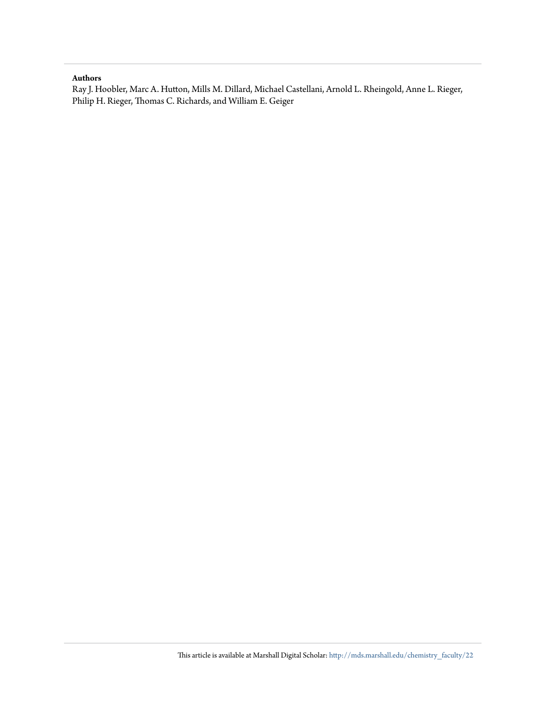#### **Authors**

Ray J. Hoobler, Marc A. Hutton, Mills M. Dillard, Michael Castellani, Arnold L. Rheingold, Anne L. Rieger, Philip H. Rieger, Thomas C. Richards, and William E. Geiger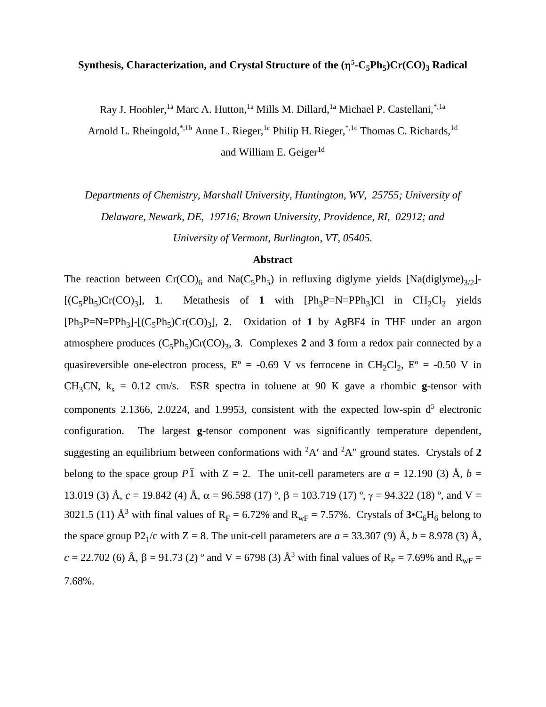#### **Synthesis, Characterization, and Crystal Structure of the (η<sup>5</sup>-C<sub>5</sub>Ph<sub>5</sub>)Cr(CO)<sub>3</sub> Radical**

Ray J. Hoobler, <sup>1a</sup> Marc A. Hutton, <sup>1a</sup> Mills M. Dillard, <sup>1a</sup> Michael P. Castellani,<sup>\*, 1a</sup>

Arnold L. Rheingold,<sup>\*,1b</sup> Anne L. Rieger,<sup>1c</sup> Philip H. Rieger,<sup>\*,1c</sup> Thomas C. Richards,<sup>1d</sup> and William E. Geiger $<sup>1d</sup>$ </sup>

*Departments of Chemistry, Marshall University, Huntington, WV, 25755; University of Delaware, Newark, DE, 19716; Brown University, Providence, RI, 02912; and University of Vermont, Burlington, VT, 05405.*

#### **Abstract**

The reaction between  $Cr(CO)<sub>6</sub>$  and  $Na(C<sub>5</sub>Ph<sub>5</sub>)$  in refluxing diglyme yields [Na(diglyme)<sub>3/2</sub>]- $[(C_5Ph_5)Cr(CO)_3]$ , 1. Metathesis of 1 with  $[Ph_3P=N=PPh_3]Cl$  in  $CH_2Cl_2$  yields  $[Ph_3P=N=PPh_3]$ - $[(C_5Ph_5)Cr(CO)_3]$ , 2. Oxidation of 1 by AgBF4 in THF under an argon atmosphere produces  $(C_5Ph_5)Cr(CO)_3$ , **3**. Complexes **2** and **3** form a redox pair connected by a quasireversible one-electron process,  $E^{\circ} = -0.69$  V vs ferrocene in CH<sub>2</sub>Cl<sub>2</sub>,  $E^{\circ} = -0.50$  V in CH<sub>3</sub>CN,  $k_s = 0.12$  cm/s. ESR spectra in toluene at 90 K gave a rhombic g-tensor with components 2.1366, 2.0224, and 1.9953, consistent with the expected low-spin  $d<sup>5</sup>$  electronic configuration. The largest **g**-tensor component was significantly temperature dependent, suggesting an equilibrium between conformations with <sup>2</sup> A′ and <sup>2</sup> A″ ground states. Crystals of **2** belong to the space group  $P\bar{1}$  with  $Z = 2$ . The unit-cell parameters are  $a = 12.190$  (3) Å,  $b =$ 13.019 (3) Å,  $c = 19.842$  (4) Å,  $\alpha = 96.598$  (17) °,  $\beta = 103.719$  (17) °,  $\gamma = 94.322$  (18) °, and V = 3021.5 (11) Å<sup>3</sup> with final values of  $R_F = 6.72\%$  and  $R_{wF} = 7.57\%$ . Crystals of  $3 \cdot C_6 H_6$  belong to the space group P2<sub>1</sub>/c with Z = 8. The unit-cell parameters are  $a = 33.307$  (9) Å,  $b = 8.978$  (3) Å,  $c = 22.702$  (6) Å,  $\beta = 91.73$  (2) ° and V = 6798 (3) Å<sup>3</sup> with final values of R<sub>F</sub> = 7.69% and R<sub>wF</sub> = 7.68%.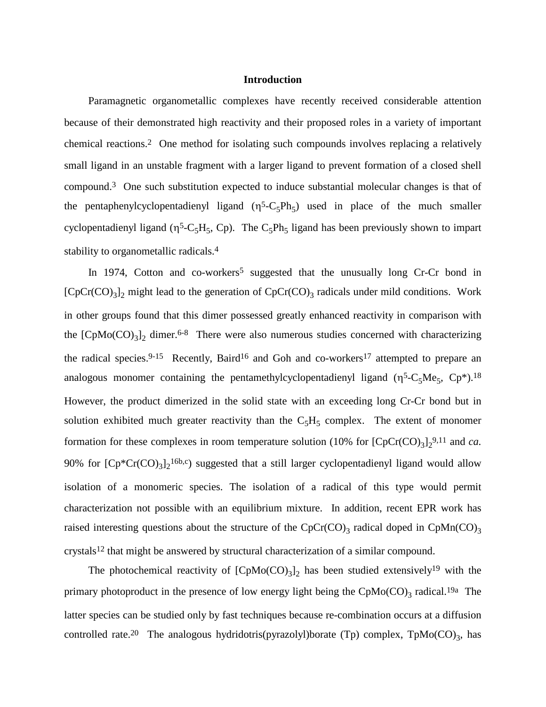#### **Introduction**

Paramagnetic organometallic complexes have recently received considerable attention because of their demonstrated high reactivity and their proposed roles in a variety of important chemical reactions.2 One method for isolating such compounds involves replacing a relatively small ligand in an unstable fragment with a larger ligand to prevent formation of a closed shell compound.3 One such substitution expected to induce substantial molecular changes is that of the pentaphenylcyclopentadienyl ligand  $(\eta^5 - C_5 P h_5)$  used in place of the much smaller cyclopentadienyl ligand ( $\eta^5$ -C<sub>5</sub>H<sub>5</sub>, C<sub>p</sub>). The C<sub>5</sub>Ph<sub>5</sub> ligand has been previously shown to impart stability to organometallic radicals.4

In 1974, Cotton and co-workers<sup>5</sup> suggested that the unusually long Cr-Cr bond in  $[CpCr(CO)<sub>3</sub>]$ <sub>2</sub> might lead to the generation of  $CpCr(CO)<sub>3</sub>$  radicals under mild conditions. Work in other groups found that this dimer possessed greatly enhanced reactivity in comparison with the  $[CpMo(CO)<sub>3</sub>]$ <sub>2</sub> dimer.<sup>6-8</sup> There were also numerous studies concerned with characterizing the radical species.<sup>9-15</sup> Recently, Baird<sup>16</sup> and Goh and co-workers<sup>17</sup> attempted to prepare an analogous monomer containing the pentamethylcyclopentadienyl ligand ( $\eta^5$ -C<sub>5</sub>Me<sub>5</sub>, Cp<sup>\*</sup>).<sup>18</sup> However, the product dimerized in the solid state with an exceeding long Cr-Cr bond but in solution exhibited much greater reactivity than the  $C_5H_5$  complex. The extent of monomer formation for these complexes in room temperature solution  $(10\%$  for  $[CpCr(CO)<sub>3</sub>]<sub>2</sub><sup>9,11</sup>$  and *ca*. 90% for  $[Cp^*Cr(CO)_3]_2^{16b,c}$  suggested that a still larger cyclopentadienyl ligand would allow isolation of a monomeric species. The isolation of a radical of this type would permit characterization not possible with an equilibrium mixture. In addition, recent EPR work has raised interesting questions about the structure of the  $CpCr(CO)$ <sub>3</sub> radical doped in CpMn(CO)<sub>3</sub> crystals12 that might be answered by structural characterization of a similar compound.

The photochemical reactivity of  $[CPMo(CO)<sub>3</sub>]$ <sub>2</sub> has been studied extensively<sup>19</sup> with the primary photoproduct in the presence of low energy light being the  $CpMo(CO)$ <sub>3</sub> radical.<sup>19a</sup> The latter species can be studied only by fast techniques because re-combination occurs at a diffusion controlled rate.<sup>20</sup> The analogous hydridotris(pyrazolyl)borate (Tp) complex,  $TpMo(CO)_{3}$ , has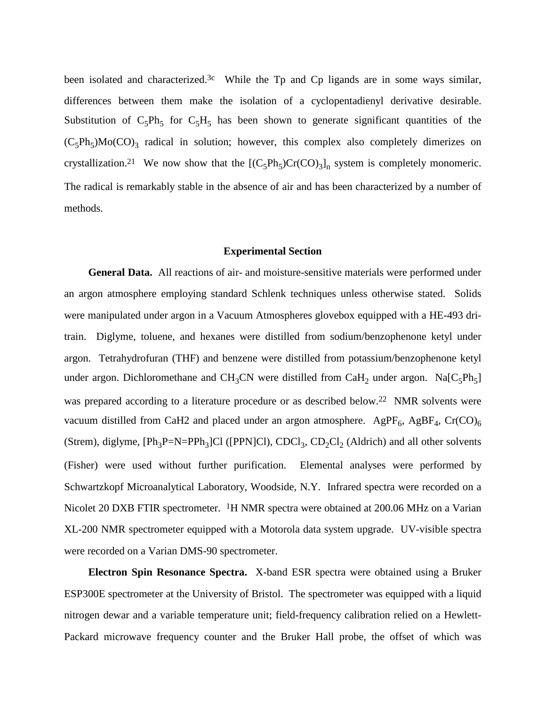been isolated and characterized.<sup>3c</sup> While the Tp and Cp ligands are in some ways similar, differences between them make the isolation of a cyclopentadienyl derivative desirable. Substitution of  $C_5Ph_5$  for  $C_5H_5$  has been shown to generate significant quantities of the  $(C_5Ph_5)Mo(CO)$ <sub>3</sub> radical in solution; however, this complex also completely dimerizes on crystallization.<sup>21</sup> We now show that the  $[(C_5Ph_5)Cr(CO)_3]_n$  system is completely monomeric. The radical is remarkably stable in the absence of air and has been characterized by a number of methods.

#### **Experimental Section**

**General Data.** All reactions of air- and moisture-sensitive materials were performed under an argon atmosphere employing standard Schlenk techniques unless otherwise stated. Solids were manipulated under argon in a Vacuum Atmospheres glovebox equipped with a HE-493 dritrain. Diglyme, toluene, and hexanes were distilled from sodium/benzophenone ketyl under argon. Tetrahydrofuran (THF) and benzene were distilled from potassium/benzophenone ketyl under argon. Dichloromethane and CH<sub>3</sub>CN were distilled from CaH<sub>2</sub> under argon. Na[C<sub>5</sub>Ph<sub>5</sub>] was prepared according to a literature procedure or as described below.<sup>22</sup> NMR solvents were vacuum distilled from CaH2 and placed under an argon atmosphere. AgPF<sub>6</sub>, AgBF<sub>4</sub>, Cr(CO)<sub>6</sub> (Strem), diglyme,  $[Ph_3P=N=PPh_3]Cl$  ( $[PPN]Cl$ ),  $CDCl_3$ ,  $CD_2Cl_2$  (Aldrich) and all other solvents (Fisher) were used without further purification. Elemental analyses were performed by Schwartzkopf Microanalytical Laboratory, Woodside, N.Y. Infrared spectra were recorded on a Nicolet 20 DXB FTIR spectrometer. <sup>1</sup>H NMR spectra were obtained at 200.06 MHz on a Varian XL-200 NMR spectrometer equipped with a Motorola data system upgrade. UV-visible spectra were recorded on a Varian DMS-90 spectrometer.

**Electron Spin Resonance Spectra.** X-band ESR spectra were obtained using a Bruker ESP300E spectrometer at the University of Bristol. The spectrometer was equipped with a liquid nitrogen dewar and a variable temperature unit; field-frequency calibration relied on a Hewlett-Packard microwave frequency counter and the Bruker Hall probe, the offset of which was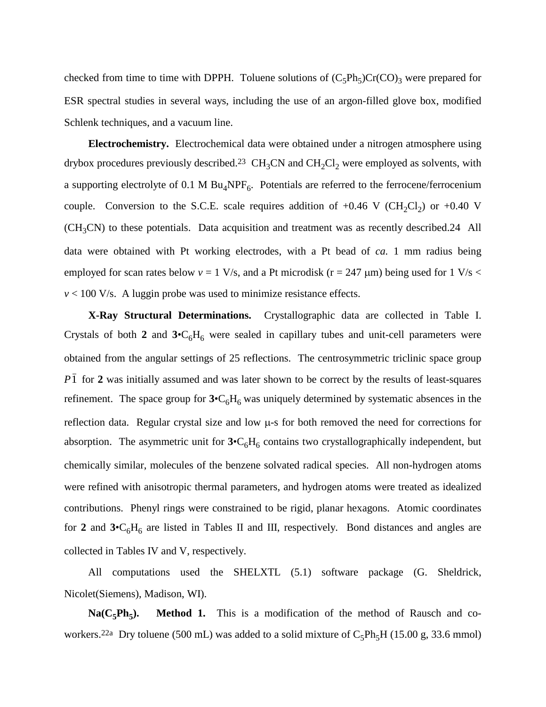checked from time to time with DPPH. Toluene solutions of  $(C_5Ph_5)Cr(CO)_3$  were prepared for ESR spectral studies in several ways, including the use of an argon-filled glove box, modified Schlenk techniques, and a vacuum line.

**Electrochemistry.** Electrochemical data were obtained under a nitrogen atmosphere using drybox procedures previously described.<sup>23</sup> CH<sub>3</sub>CN and CH<sub>2</sub>Cl<sub>2</sub> were employed as solvents, with a supporting electrolyte of 0.1 M  $Bu_4NPF_6$ . Potentials are referred to the ferrocene/ferrocenium couple. Conversion to the S.C.E. scale requires addition of  $+0.46$  V (CH<sub>2</sub>Cl<sub>2</sub>) or  $+0.40$  V (CH3CN) to these potentials. Data acquisition and treatment was as recently described.24 All data were obtained with Pt working electrodes, with a Pt bead of *ca.* 1 mm radius being employed for scan rates below  $v = 1$  V/s, and a Pt microdisk ( $r = 247 \mu m$ ) being used for  $1$  V/s <  $v$  < 100 V/s. A luggin probe was used to minimize resistance effects.

**X-Ray Structural Determinations.** Crystallographic data are collected in Table I. Crystals of both 2 and  $3 \cdot C_6H_6$  were sealed in capillary tubes and unit-cell parameters were obtained from the angular settings of 25 reflections. The centrosymmetric triclinic space group  $\overline{P1}$  for 2 was initially assumed and was later shown to be correct by the results of least-squares refinement. The space group for  $3 \cdot C_6H_6$  was uniquely determined by systematic absences in the reflection data. Regular crystal size and low µ-s for both removed the need for corrections for absorption. The asymmetric unit for  $3 \cdot C_6 H_6$  contains two crystallographically independent, but chemically similar, molecules of the benzene solvated radical species. All non-hydrogen atoms were refined with anisotropic thermal parameters, and hydrogen atoms were treated as idealized contributions. Phenyl rings were constrained to be rigid, planar hexagons. Atomic coordinates for 2 and  $3 \cdot C_6H_6$  are listed in Tables II and III, respectively. Bond distances and angles are collected in Tables IV and V, respectively.

All computations used the SHELXTL (5.1) software package (G. Sheldrick, Nicolet(Siemens), Madison, WI).

 $Na(C_5Ph_5)$ . Method 1. This is a modification of the method of Rausch and coworkers.<sup>22a</sup> Dry toluene (500 mL) was added to a solid mixture of  $C_5Ph_5H$  (15.00 g, 33.6 mmol)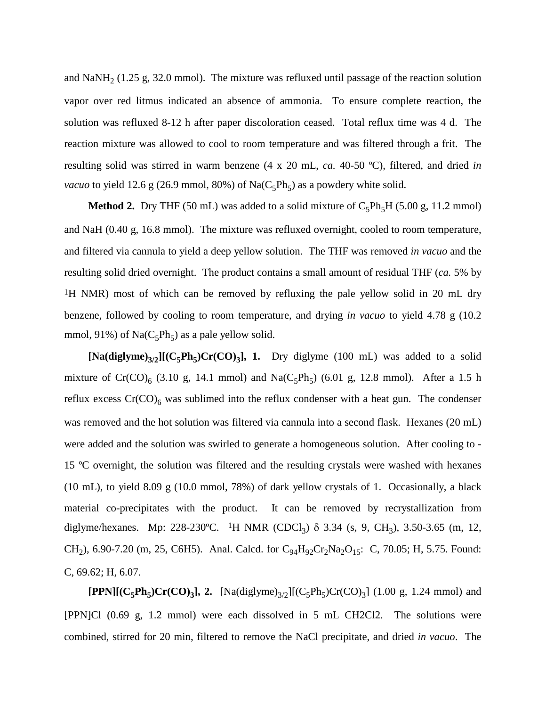and NaNH<sub>2</sub> (1.25 g, 32.0 mmol). The mixture was refluxed until passage of the reaction solution vapor over red litmus indicated an absence of ammonia. To ensure complete reaction, the solution was refluxed 8-12 h after paper discoloration ceased. Total reflux time was 4 d. The reaction mixture was allowed to cool to room temperature and was filtered through a frit. The resulting solid was stirred in warm benzene (4 x 20 mL, *ca.* 40-50 ºC), filtered, and dried *in vacuo* to yield 12.6 g (26.9 mmol, 80%) of Na( $C_5$ Ph<sub>5</sub>) as a powdery white solid.

**Method 2.** Dry THF (50 mL) was added to a solid mixture of  $C_5Ph_5H$  (5.00 g, 11.2 mmol) and NaH (0.40 g, 16.8 mmol). The mixture was refluxed overnight, cooled to room temperature, and filtered via cannula to yield a deep yellow solution. The THF was removed *in vacuo* and the resulting solid dried overnight. The product contains a small amount of residual THF (*ca.* 5% by <sup>1</sup>H NMR) most of which can be removed by refluxing the pale yellow solid in 20 mL dry benzene, followed by cooling to room temperature, and drying *in vacuo* to yield 4.78 g (10.2 mmol, 91%) of  $Na(C_5Ph_5)$  as a pale yellow solid.

 $[Na(diglyme)_{3/2}][(C_5Ph_5)Cr(CO)_3]$ , 1. Dry diglyme (100 mL) was added to a solid mixture of  $Cr(CO)_{6}$  (3.10 g, 14.1 mmol) and Na( $C_{5}Ph_{5}$ ) (6.01 g, 12.8 mmol). After a 1.5 h reflux excess  $Cr(CO)<sub>6</sub>$  was sublimed into the reflux condenser with a heat gun. The condenser was removed and the hot solution was filtered via cannula into a second flask. Hexanes (20 mL) were added and the solution was swirled to generate a homogeneous solution. After cooling to - 15 ºC overnight, the solution was filtered and the resulting crystals were washed with hexanes (10 mL), to yield 8.09 g (10.0 mmol, 78%) of dark yellow crystals of 1. Occasionally, a black material co-precipitates with the product. It can be removed by recrystallization from diglyme/hexanes. Mp: 228-230°C. <sup>1</sup>H NMR (CDCl<sub>3</sub>)  $\delta$  3.34 (s, 9, CH<sub>3</sub>), 3.50-3.65 (m, 12, CH<sub>2</sub>), 6.90-7.20 (m, 25, C6H5). Anal. Calcd. for C<sub>94</sub>H<sub>92</sub>Cr<sub>2</sub>Na<sub>2</sub>O<sub>15</sub>: C, 70.05; H, 5.75. Found: C, 69.62; H, 6.07.

**[PPN][(C<sub>5</sub>Ph<sub>5</sub>)Cr(CO)<sub>3</sub>], 2.** [Na(diglyme)<sub>3/2</sub>][(C<sub>5</sub>Ph<sub>5</sub>)Cr(CO)<sub>3</sub>] (1.00 g, 1.24 mmol) and [PPN]Cl (0.69 g, 1.2 mmol) were each dissolved in 5 mL CH2Cl2. The solutions were combined, stirred for 20 min, filtered to remove the NaCl precipitate, and dried *in vacuo*. The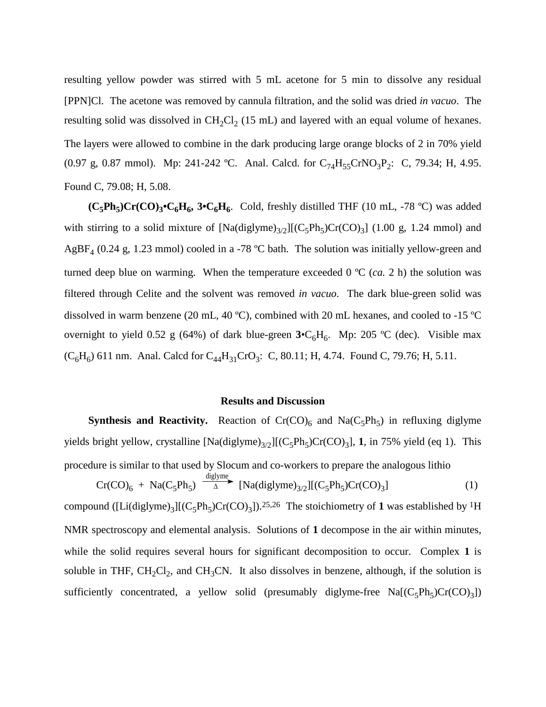resulting yellow powder was stirred with 5 mL acetone for 5 min to dissolve any residual [PPN]Cl. The acetone was removed by cannula filtration, and the solid was dried *in vacuo*. The resulting solid was dissolved in  $CH_2Cl_2$  (15 mL) and layered with an equal volume of hexanes. The layers were allowed to combine in the dark producing large orange blocks of 2 in 70% yield (0.97 g, 0.87 mmol). Mp: 241-242 °C. Anal. Calcd. for  $C_{74}H_{55}CrNO_3P_2$ : C, 79.34; H, 4.95. Found C, 79.08; H, 5.08.

 $(C_5Ph_5)Cr(CO)$ <sub>3</sub>• $C_6H_6$ , 3• $C_6H_6$ . Cold, freshly distilled THF (10 mL, -78 °C) was added with stirring to a solid mixture of  $[Na(diglyme)_{3/2}][(C_5Ph_5)Cr(CO)_3]$  (1.00 g, 1.24 mmol) and AgBF<sub>4</sub> (0.24 g, 1.23 mmol) cooled in a -78 °C bath. The solution was initially yellow-green and turned deep blue on warming. When the temperature exceeded 0 ºC (*ca.* 2 h) the solution was filtered through Celite and the solvent was removed *in vacuo*. The dark blue-green solid was dissolved in warm benzene (20 mL, 40 ºC), combined with 20 mL hexanes, and cooled to -15 ºC overnight to yield 0.52 g (64%) of dark blue-green  $3 \cdot C_6H_6$ . Mp: 205 °C (dec). Visible max  $(C_6H_6)$  611 nm. Anal. Calcd for  $C_{44}H_{31}CrO_3$ : C, 80.11; H, 4.74. Found C, 79.76; H, 5.11.

#### **Results and Discussion**

**Synthesis and Reactivity.** Reaction of  $Cr(CO)<sub>6</sub>$  and  $Na(C<sub>5</sub>Ph<sub>5</sub>)$  in refluxing diglyme yields bright yellow, crystalline  $[Na(diglyme)_{3/2}](C_5Ph_5)Cr(CO)_3]$ , **1**, in 75% yield (eq 1). This procedure is similar to that used by Slocum and co-workers to prepare the analogous lithio

$$
Cr(CO)6 + Na(C5Ph5) \xrightarrow{\text{display}} [Na(\text{display})3/2][(C5Ph5)Cr(CO)3] \tag{1}
$$

compound  $([Li(diglyme)<sub>3</sub>][(C<sub>5</sub>Ph<sub>5</sub>)Cr(CO)<sub>3</sub>])$ .<sup>25,26</sup> The stoichiometry of **1** was established by <sup>1</sup>H NMR spectroscopy and elemental analysis. Solutions of **1** decompose in the air within minutes, while the solid requires several hours for significant decomposition to occur. Complex **1** is soluble in THF,  $CH_2Cl_2$ , and  $CH_3CN$ . It also dissolves in benzene, although, if the solution is sufficiently concentrated, a yellow solid (presumably diglyme-free  $Na[(C_5Ph_5)Cr(CO)_3])$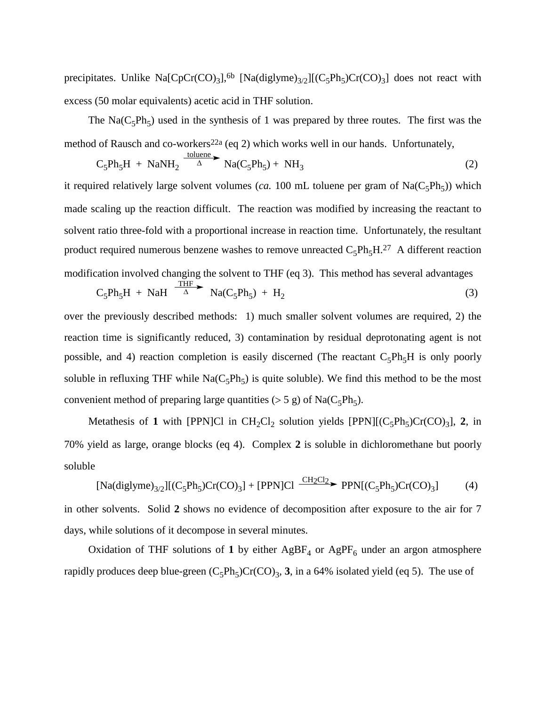precipitates. Unlike Na[CpCr(CO)<sub>3</sub>],<sup>6b</sup> [Na(diglyme)<sub>3/2</sub>][(C<sub>5</sub>Ph<sub>5</sub>)Cr(CO)<sub>3</sub>] does not react with excess (50 molar equivalents) acetic acid in THF solution.

The Na( $C_5Ph_5$ ) used in the synthesis of 1 was prepared by three routes. The first was the method of Rausch and co-workers<sup>22a</sup> (eq 2) which works well in our hands. Unfortunately,

$$
C_5Ph_5H + NaNH_2 \xrightarrow{\text{toluene}} Na(C_5Ph_5) + NH_3
$$
 (2)

it required relatively large solvent volumes (*ca.* 100 mL toluene per gram of  $Na(C_5Ph_5)$ ) which made scaling up the reaction difficult. The reaction was modified by increasing the reactant to solvent ratio three-fold with a proportional increase in reaction time. Unfortunately, the resultant product required numerous benzene washes to remove unreacted  $C_5Ph_5H^{27}$  A different reaction modification involved changing the solvent to THF (eq 3). This method has several advantages

$$
C_5Ph_5H + NaH \xrightarrow{\text{THF}} Na(C_5Ph_5) + H_2
$$
 (3)

over the previously described methods: 1) much smaller solvent volumes are required, 2) the reaction time is significantly reduced, 3) contamination by residual deprotonating agent is not possible, and 4) reaction completion is easily discerned (The reactant  $C_5Ph_5H$  is only poorly soluble in refluxing THF while  $\text{Na}(C_5\text{Ph}_5)$  is quite soluble). We find this method to be the most convenient method of preparing large quantities ( $> 5$  g) of Na( $C_5Ph_5$ ).

Metathesis of 1 with [PPN]Cl in  $CH_2Cl_2$  solution yields [PPN][ $(C_5Ph_5)Cr(CO)_3$ ], 2, in 70% yield as large, orange blocks (eq 4). Complex **2** is soluble in dichloromethane but poorly soluble

$$
[Na(diglyme)_{3/2}][(C_5Ph_5)Cr(CO)_3] + [PPN]Cl \xrightarrow{CH_2Cl_2} PPN[(C_5Ph_5)Cr(CO)_3]
$$
 (4)

in other solvents. Solid **2** shows no evidence of decomposition after exposure to the air for 7 days, while solutions of it decompose in several minutes.

Oxidation of THF solutions of 1 by either  $AgBF<sub>4</sub>$  or  $AgPF<sub>6</sub>$  under an argon atmosphere rapidly produces deep blue-green  $(C_5Ph_5)Cr(CO)_3$ , 3, in a 64% isolated yield (eq 5). The use of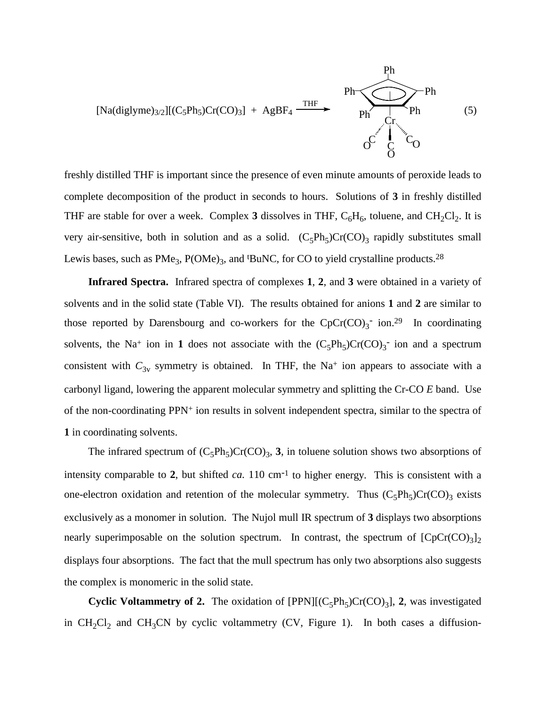

freshly distilled THF is important since the presence of even minute amounts of peroxide leads to complete decomposition of the product in seconds to hours. Solutions of **3** in freshly distilled THF are stable for over a week. Complex 3 dissolves in THF,  $C_6H_6$ , toluene, and  $CH_2Cl_2$ . It is very air-sensitive, both in solution and as a solid.  $(C_5Ph_5)Cr(CO)_3$  rapidly substitutes small Lewis bases, such as  $PMe<sub>3</sub>$ ,  $P(OMe)<sub>3</sub>$ , and <sup>t</sup>BuNC, for CO to yield crystalline products.<sup>28</sup>

**Infrared Spectra.** Infrared spectra of complexes **1**, **2**, and **3** were obtained in a variety of solvents and in the solid state (Table VI). The results obtained for anions **1** and **2** are similar to those reported by Darensbourg and co-workers for the  $CpCr(CO)_{3}$  ion.<sup>29</sup> In coordinating solvents, the Na<sup>+</sup> ion in 1 does not associate with the  $(C_5Ph_5)Cr(CO)_3$ <sup>-</sup> ion and a spectrum consistent with  $C_{3v}$  symmetry is obtained. In THF, the Na<sup>+</sup> ion appears to associate with a carbonyl ligand, lowering the apparent molecular symmetry and splitting the Cr-CO *E* band. Use of the non-coordinating PPN+ ion results in solvent independent spectra, similar to the spectra of **1** in coordinating solvents.

The infrared spectrum of  $(C_5Ph_5)Cr(CO)_3$ , **3**, in toluene solution shows two absorptions of intensity comparable to **2**, but shifted *ca.* 110 cm-1 to higher energy. This is consistent with a one-electron oxidation and retention of the molecular symmetry. Thus  $(C_5Ph_5)Cr(CO)_3$  exists exclusively as a monomer in solution. The Nujol mull IR spectrum of **3** displays two absorptions nearly superimposable on the solution spectrum. In contrast, the spectrum of  $[CpCr(CO)<sub>3</sub>]$ <sub>2</sub> displays four absorptions. The fact that the mull spectrum has only two absorptions also suggests the complex is monomeric in the solid state.

**Cyclic Voltammetry of 2.** The oxidation of  $[PPN]$ [ $(C_5Ph_5)Cr(CO)_3$ ], 2, was investigated in  $CH_2Cl_2$  and  $CH_3CN$  by cyclic voltammetry (CV, Figure 1). In both cases a diffusion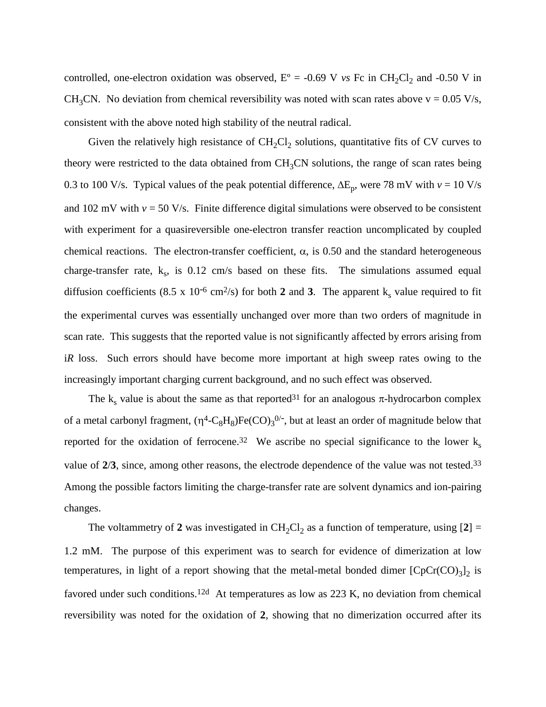controlled, one-electron oxidation was observed,  $E^{\circ} = -0.69$  V *vs* Fc in CH<sub>2</sub>Cl<sub>2</sub> and -0.50 V in CH<sub>3</sub>CN. No deviation from chemical reversibility was noted with scan rates above  $v = 0.05$  V/s, consistent with the above noted high stability of the neutral radical.

Given the relatively high resistance of  $CH_2Cl_2$  solutions, quantitative fits of CV curves to theory were restricted to the data obtained from  $CH<sub>3</sub>CN$  solutions, the range of scan rates being 0.3 to 100 V/s. Typical values of the peak potential difference,  $\Delta E_p$ , were 78 mV with *v* = 10 V/s and 102 mV with  $v = 50$  V/s. Finite difference digital simulations were observed to be consistent with experiment for a quasireversible one-electron transfer reaction uncomplicated by coupled chemical reactions. The electron-transfer coefficient,  $\alpha$ , is 0.50 and the standard heterogeneous charge-transfer rate,  $k_s$ , is 0.12 cm/s based on these fits. The simulations assumed equal diffusion coefficients (8.5 x 10<sup>-6</sup> cm<sup>2</sup>/s) for both **2** and **3**. The apparent  $k_s$  value required to fit the experimental curves was essentially unchanged over more than two orders of magnitude in scan rate. This suggests that the reported value is not significantly affected by errors arising from i*R* loss. Such errors should have become more important at high sweep rates owing to the increasingly important charging current background, and no such effect was observed.

The k<sub>s</sub> value is about the same as that reported<sup>31</sup> for an analogous  $\pi$ -hydrocarbon complex of a metal carbonyl fragment,  $(\eta^4$ -C<sub>8</sub>H<sub>8</sub>)Fe(CO)<sub>3</sub><sup>0/-</sup>, but at least an order of magnitude below that reported for the oxidation of ferrocene.<sup>32</sup> We ascribe no special significance to the lower  $k_s$ value of **2**/**3**, since, among other reasons, the electrode dependence of the value was not tested.33 Among the possible factors limiting the charge-transfer rate are solvent dynamics and ion-pairing changes.

The voltammetry of 2 was investigated in  $CH_2Cl_2$  as a function of temperature, using  $[2] =$ 1.2 mM. The purpose of this experiment was to search for evidence of dimerization at low temperatures, in light of a report showing that the metal-metal bonded dimer  $[CpCr(CO)<sub>3</sub>]$ <sub>2</sub> is favored under such conditions.12d At temperatures as low as 223 K, no deviation from chemical reversibility was noted for the oxidation of **2**, showing that no dimerization occurred after its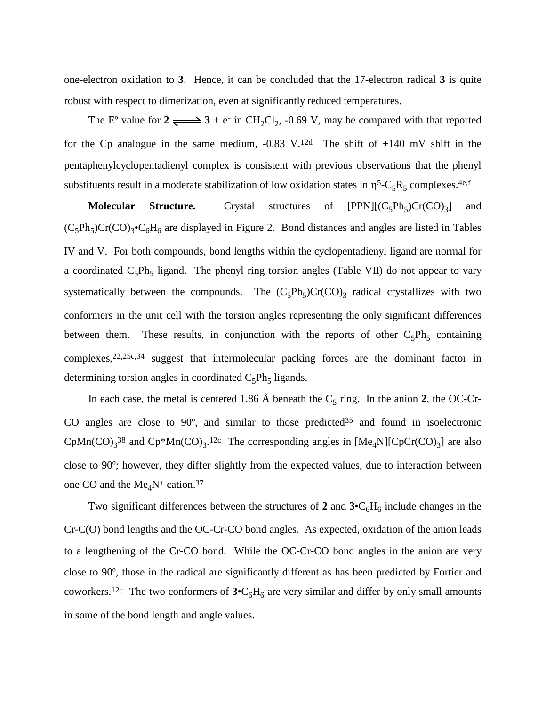one-electron oxidation to **3**. Hence, it can be concluded that the 17-electron radical **3** is quite robust with respect to dimerization, even at significantly reduced temperatures.

The E<sup>o</sup> value for  $2 \rightleftharpoons 3 + e^-$  in CH<sub>2</sub>Cl<sub>2</sub>, -0.69 V, may be compared with that reported for the Cp analogue in the same medium,  $-0.83$  V.<sup>12d</sup> The shift of  $+140$  mV shift in the pentaphenylcyclopentadienyl complex is consistent with previous observations that the phenyl substituents result in a moderate stabilization of low oxidation states in  $\eta^5$ -C<sub>5</sub>R<sub>5</sub> complexes.<sup>4e,f</sup>

**Molecular Structure.** Crystal structures of  $[PPN][(C_5Ph_5)Cr(CO)_3]$  and  $(C_5Ph_5)Cr(CO)_3\bullet C_6H_6$  are displayed in Figure 2. Bond distances and angles are listed in Tables IV and V. For both compounds, bond lengths within the cyclopentadienyl ligand are normal for a coordinated  $C_5Ph_5$  ligand. The phenyl ring torsion angles (Table VII) do not appear to vary systematically between the compounds. The  $(C_5Ph_5)Cr(CO)_3$  radical crystallizes with two conformers in the unit cell with the torsion angles representing the only significant differences between them. These results, in conjunction with the reports of other  $C_5Ph_5$  containing complexes,22,25c,34 suggest that intermolecular packing forces are the dominant factor in determining torsion angles in coordinated  $C_5Ph_5$  ligands.

In each case, the metal is centered 1.86 Å beneath the  $C_5$  ring. In the anion 2, the OC-Cr-CO angles are close to  $90^{\circ}$ , and similar to those predicted<sup>35</sup> and found in isoelectronic CpMn(CO)<sub>3</sub><sup>38</sup> and Cp\*Mn(CO)<sub>3</sub>.<sup>12c</sup> The corresponding angles in [Me<sub>4</sub>N][CpCr(CO)<sub>3</sub>] are also close to 90º; however, they differ slightly from the expected values, due to interaction between one CO and the  $Me<sub>4</sub>N<sup>+</sup>$  cation.<sup>37</sup>

Two significant differences between the structures of 2 and  $3 \cdot C_6 H_6$  include changes in the Cr-C(O) bond lengths and the OC-Cr-CO bond angles. As expected, oxidation of the anion leads to a lengthening of the Cr-CO bond. While the OC-Cr-CO bond angles in the anion are very close to 90º, those in the radical are significantly different as has been predicted by Fortier and coworkers.<sup>12c</sup> The two conformers of  $3 \cdot C_6H_6$  are very similar and differ by only small amounts in some of the bond length and angle values.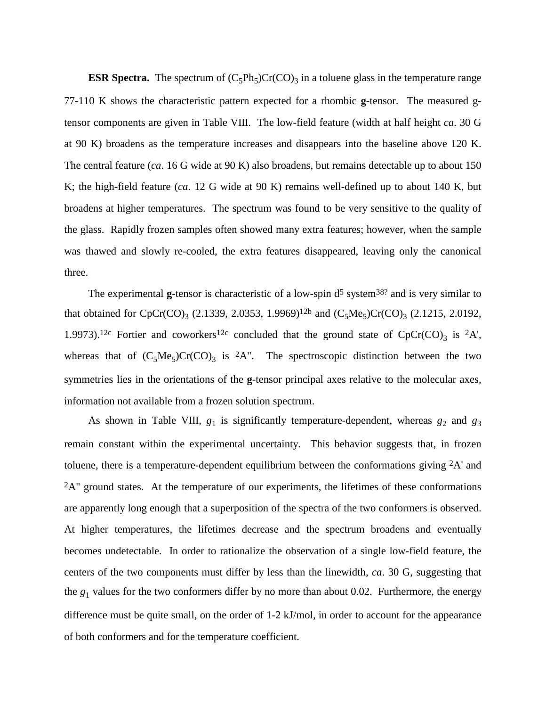**ESR Spectra.** The spectrum of  $(C_5Ph_5)Cr(CO)_3$  in a toluene glass in the temperature range 77-110 K shows the characteristic pattern expected for a rhombic **g**-tensor. The measured gtensor components are given in Table VIII. The low-field feature (width at half height *ca*. 30 G at 90 K) broadens as the temperature increases and disappears into the baseline above 120 K. The central feature (*ca*. 16 G wide at 90 K) also broadens, but remains detectable up to about 150 K; the high-field feature (*ca*. 12 G wide at 90 K) remains well-defined up to about 140 K, but broadens at higher temperatures. The spectrum was found to be very sensitive to the quality of the glass. Rapidly frozen samples often showed many extra features; however, when the sample was thawed and slowly re-cooled, the extra features disappeared, leaving only the canonical three.

The experimental  $g$ -tensor is characteristic of a low-spin  $d^5$  system<sup>38?</sup> and is very similar to that obtained for CpCr(CO)<sub>3</sub> (2.1339, 2.0353, 1.9969)<sup>12b</sup> and (C<sub>5</sub>Me<sub>5</sub>)Cr(CO)<sub>3</sub> (2.1215, 2.0192, 1.9973).<sup>12c</sup> Fortier and coworkers<sup>12c</sup> concluded that the ground state of CpCr(CO)<sub>3</sub> is <sup>2</sup>A', whereas that of  $(C_5Me_5)Cr(CO)_3$  is <sup>2</sup>A". The spectroscopic distinction between the two symmetries lies in the orientations of the **g**-tensor principal axes relative to the molecular axes, information not available from a frozen solution spectrum.

As shown in Table VIII,  $g_1$  is significantly temperature-dependent, whereas  $g_2$  and  $g_3$ remain constant within the experimental uncertainty. This behavior suggests that, in frozen toluene, there is a temperature-dependent equilibrium between the conformations giving 2A' and  $2A^{\prime\prime}$  ground states. At the temperature of our experiments, the lifetimes of these conformations are apparently long enough that a superposition of the spectra of the two conformers is observed. At higher temperatures, the lifetimes decrease and the spectrum broadens and eventually becomes undetectable. In order to rationalize the observation of a single low-field feature, the centers of the two components must differ by less than the linewidth, *ca*. 30 G, suggesting that the  $g_1$  values for the two conformers differ by no more than about 0.02. Furthermore, the energy difference must be quite small, on the order of 1-2 kJ/mol, in order to account for the appearance of both conformers and for the temperature coefficient.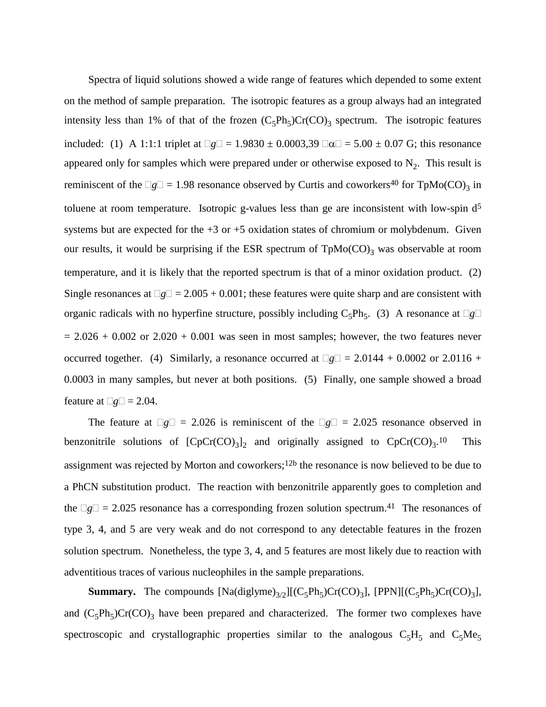Spectra of liquid solutions showed a wide range of features which depended to some extent on the method of sample preparation. The isotropic features as a group always had an integrated intensity less than 1% of that of the frozen  $(C_5Ph_5)Cr(CO)_3$  spectrum. The isotropic features included: (1) A 1:1:1 triplet at  $\Box g \Box = 1.9830 \pm 0.0003339 \Box \alpha \Box = 5.00 \pm 0.07$  G; this resonance appeared only for samples which were prepared under or otherwise exposed to  $N<sub>2</sub>$ . This result is reminiscent of the  $\Box$ g $\Box$  = 1.98 resonance observed by Curtis and coworkers<sup>40</sup> for TpMo(CO)<sub>3</sub> in toluene at room temperature. Isotropic g-values less than ge are inconsistent with low-spin d<sup>5</sup> systems but are expected for the  $+3$  or  $+5$  oxidation states of chromium or molybdenum. Given our results, it would be surprising if the ESR spectrum of  $TpMo(CO)$ <sub>3</sub> was observable at room temperature, and it is likely that the reported spectrum is that of a minor oxidation product. (2) Single resonances at  $\Box$ g $\Box$  = 2.005 + 0.001; these features were quite sharp and are consistent with organic radicals with no hyperfine structure, possibly including  $C_5Ph_5$ . (3) A resonance at  $\Box g \Box$  $= 2.026 + 0.002$  or  $2.020 + 0.001$  was seen in most samples; however, the two features never occurred together. (4) Similarly, a resonance occurred at  $\Box g \Box = 2.0144 + 0.0002$  or 2.0116 + 0.0003 in many samples, but never at both positions. (5) Finally, one sample showed a broad feature at  $\Box g \Box = 2.04$ .

The feature at  $\Box g \Box = 2.026$  is reminiscent of the  $\Box g \Box = 2.025$  resonance observed in benzonitrile solutions of  $[CpCr(CO)_3]_2$  and originally assigned to  $CpCr(CO)_3$ .<sup>10</sup> This assignment was rejected by Morton and coworkers;12b the resonance is now believed to be due to a PhCN substitution product. The reaction with benzonitrile apparently goes to completion and the  $\Box$ g $\Box$  = 2.025 resonance has a corresponding frozen solution spectrum.<sup>41</sup> The resonances of type 3, 4, and 5 are very weak and do not correspond to any detectable features in the frozen solution spectrum. Nonetheless, the type 3, 4, and 5 features are most likely due to reaction with adventitious traces of various nucleophiles in the sample preparations.

**Summary.** The compounds  $[Na(diglyme)_{3/2}][(C_5Ph_5)Cr(CO)_3]$ ,  $[PPN][(C_5Ph_5)Cr(CO)_3]$ , and  $(C_5Ph_5)Cr(CO)_3$  have been prepared and characterized. The former two complexes have spectroscopic and crystallographic properties similar to the analogous  $C_5H_5$  and  $C_5Me_5$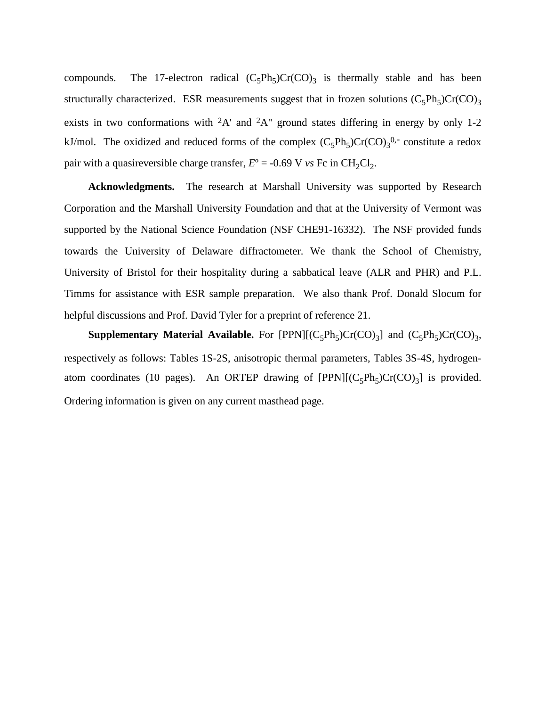compounds. The 17-electron radical  $(C_5Ph_5)Cr(CO)_3$  is thermally stable and has been structurally characterized. ESR measurements suggest that in frozen solutions  $(C_5Ph_5)Cr(CO)_3$ exists in two conformations with 2A' and 2A" ground states differing in energy by only 1-2 kJ/mol. The oxidized and reduced forms of the complex  $(C_5Ph_5)Cr(CO)_3^{0,-}$  constitute a redox pair with a quasireversible charge transfer,  $E^{\circ} = -0.69$  V *vs* Fc in CH<sub>2</sub>Cl<sub>2</sub>.

**Acknowledgments.** The research at Marshall University was supported by Research Corporation and the Marshall University Foundation and that at the University of Vermont was supported by the National Science Foundation (NSF CHE91-16332). The NSF provided funds towards the University of Delaware diffractometer. We thank the School of Chemistry, University of Bristol for their hospitality during a sabbatical leave (ALR and PHR) and P.L. Timms for assistance with ESR sample preparation. We also thank Prof. Donald Slocum for helpful discussions and Prof. David Tyler for a preprint of reference 21.

**Supplementary Material Available.** For [PPN][ $(C_5Ph_5)Cr(CO)_3$ ] and  $(C_5Ph_5)Cr(CO)_3$ , respectively as follows: Tables 1S-2S, anisotropic thermal parameters, Tables 3S-4S, hydrogenatom coordinates (10 pages). An ORTEP drawing of  $[PPN][(C_5Ph_5)Cr(CO)_3]$  is provided. Ordering information is given on any current masthead page.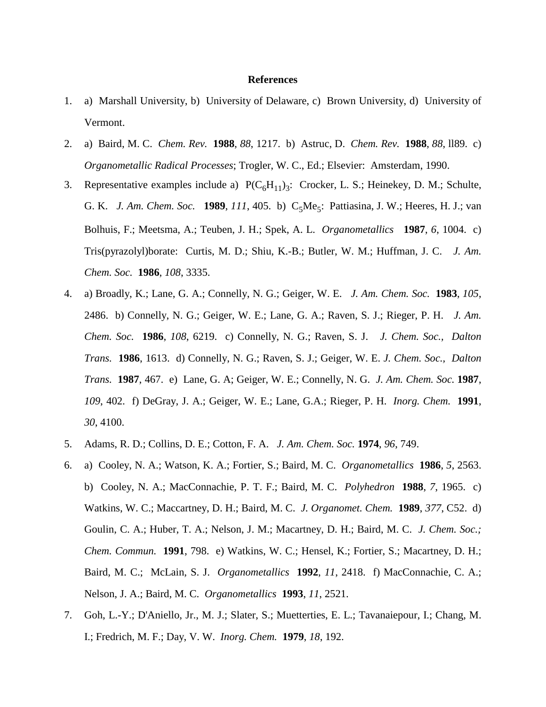#### **References**

- 1. a) Marshall University, b) University of Delaware, c) Brown University, d) University of Vermont.
- 2. a) Baird, M. C. *Chem. Rev.* **1988**, *88*, 1217. b) Astruc, D. *Chem. Rev.* **1988**, *88*, ll89. c) *Organometallic Radical Processes*; Trogler, W. C., Ed.; Elsevier: Amsterdam, 1990.
- 3. Representative examples include a)  $P(C_6H_{11})_3$ : Crocker, L. S.; Heinekey, D. M.; Schulte, G. K. *J. Am. Chem. Soc.* **1989**, *111*, 405. b) C<sub>5</sub>Me<sub>5</sub>: Pattiasina, J. W.; Heeres, H. J.; van Bolhuis, F.; Meetsma, A.; Teuben, J. H.; Spek, A. L. *Organometallics* **1987**, *6*, 1004. c) Tris(pyrazolyl)borate: Curtis, M. D.; Shiu, K.-B.; Butler, W. M.; Huffman, J. C. *J. Am. Chem. Soc.* **1986**, *108*, 3335.
- 4. a) Broadly, K.; Lane, G. A.; Connelly, N. G.; Geiger, W. E. *J. Am. Chem. Soc.* **1983**, *105*, 2486. b) Connelly, N. G.; Geiger, W. E.; Lane, G. A.; Raven, S. J.; Rieger, P. H. *J. Am. Chem. Soc.* **1986**, *108*, 6219. c) Connelly, N. G.; Raven, S. J. *J. Chem. Soc., Dalton Trans.* **1986**, 1613. d) Connelly, N. G.; Raven, S. J.; Geiger, W. E. *J. Chem. Soc., Dalton Trans.* **1987**, 467. e) Lane, G. A; Geiger, W. E.; Connelly, N. G. *J. Am. Chem. Soc.* **1987**, *109*, 402. f) DeGray, J. A.; Geiger, W. E.; Lane, G.A.; Rieger, P. H. *Inorg. Chem.* **1991**, *30*, 4100.
- 5. Adams, R. D.; Collins, D. E.; Cotton, F. A. *J. Am. Chem. Soc.* **1974**, *96*, 749.
- 6. a) Cooley, N. A.; Watson, K. A.; Fortier, S.; Baird, M. C. *Organometallics* **1986**, *5*, 2563. b) Cooley, N. A.; MacConnachie, P. T. F.; Baird, M. C. *Polyhedron* **1988**, *7*, 1965. c) Watkins, W. C.; Maccartney, D. H.; Baird, M. C. *J. Organomet. Chem.* **1989**, *377*, C52. d) Goulin, C. A.; Huber, T. A.; Nelson, J. M.; Macartney, D. H.; Baird, M. C. *J. Chem. Soc.; Chem. Commun.* **1991**, 798. e) Watkins, W. C.; Hensel, K.; Fortier, S.; Macartney, D. H.; Baird, M. C.; McLain, S. J. *Organometallics* **1992**, *11*, 2418. f) MacConnachie, C. A.; Nelson, J. A.; Baird, M. C. *Organometallics* **1993**, *11*, 2521.
- 7. Goh, L.-Y.; D'Aniello, Jr., M. J.; Slater, S.; Muetterties, E. L.; Tavanaiepour, I.; Chang, M. I.; Fredrich, M. F.; Day, V. W. *Inorg. Chem.* **1979**, *18*, 192.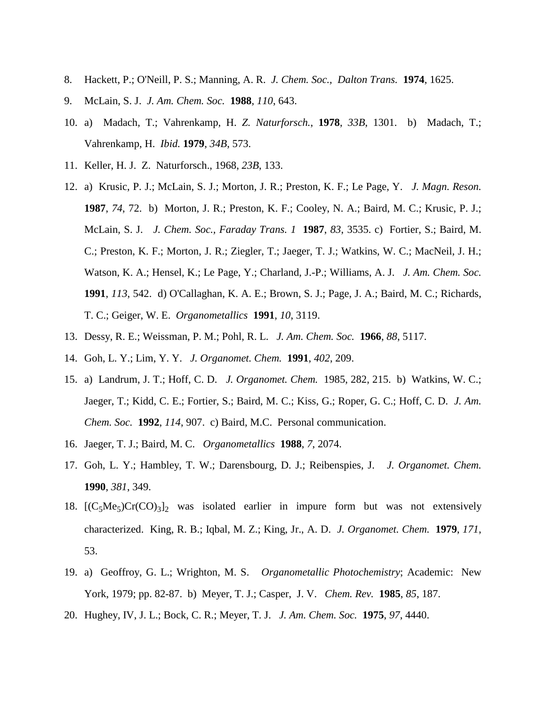- 8. Hackett, P.; O'Neill, P. S.; Manning, A. R. *J. Chem. Soc., Dalton Trans.* **1974**, 1625.
- 9. McLain, S. J. *J. Am. Chem. Soc.* **1988**, *110*, 643.
- 10. a) Madach, T.; Vahrenkamp, H. *Z. Naturforsch.*, **1978**, *33B*, 1301. b) Madach, T.; Vahrenkamp, H. *Ibid.* **1979**, *34B*, 573.
- 11. Keller, H. J. Z. Naturforsch., 1968, *23B*, 133.
- 12. a) Krusic, P. J.; McLain, S. J.; Morton, J. R.; Preston, K. F.; Le Page, Y. *J. Magn. Reson.* **1987**, *74*, 72. b) Morton, J. R.; Preston, K. F.; Cooley, N. A.; Baird, M. C.; Krusic, P. J.; McLain, S. J. *J. Chem. Soc., Faraday Trans. 1* **1987**, *83*, 3535. c) Fortier, S.; Baird, M. C.; Preston, K. F.; Morton, J. R.; Ziegler, T.; Jaeger, T. J.; Watkins, W. C.; MacNeil, J. H.; Watson, K. A.; Hensel, K.; Le Page, Y.; Charland, J.-P.; Williams, A. J. *J. Am. Chem. Soc.* **1991**, *113*, 542. d) O'Callaghan, K. A. E.; Brown, S. J.; Page, J. A.; Baird, M. C.; Richards, T. C.; Geiger, W. E. *Organometallics* **1991**, *10*, 3119.
- 13. Dessy, R. E.; Weissman, P. M.; Pohl, R. L. *J. Am. Chem. Soc.* **1966**, *88*, 5117.
- 14. Goh, L. Y.; Lim, Y. Y. *J. Organomet. Chem.* **1991**, *402*, 209.
- 15. a) Landrum, J. T.; Hoff, C. D. *J. Organomet. Chem.* 1985, 282, 215. b) Watkins, W. C.; Jaeger, T.; Kidd, C. E.; Fortier, S.; Baird, M. C.; Kiss, G.; Roper, G. C.; Hoff, C. D. *J. Am. Chem. Soc.* **1992**, *114*, 907. c) Baird, M.C. Personal communication.
- 16. Jaeger, T. J.; Baird, M. C. *Organometallics* **1988**, *7*, 2074.
- 17. Goh, L. Y.; Hambley, T. W.; Darensbourg, D. J.; Reibenspies, J. *J. Organomet. Chem.* **1990**, *381*, 349.
- 18.  $[(C_5Me_5)Cr(CO)_3]_2$  was isolated earlier in impure form but was not extensively characterized. King, R. B.; Iqbal, M. Z.; King, Jr., A. D. *J. Organomet. Chem.* **1979**, *171*, 53.
- 19. a) Geoffroy, G. L.; Wrighton, M. S. *Organometallic Photochemistry*; Academic: New York, 1979; pp. 82-87. b) Meyer, T. J.; Casper, J. V. *Chem. Rev.* **1985**, *85*, 187.
- 20. Hughey, IV, J. L.; Bock, C. R.; Meyer, T. J. *J. Am. Chem. Soc.* **1975**, *97*, 4440.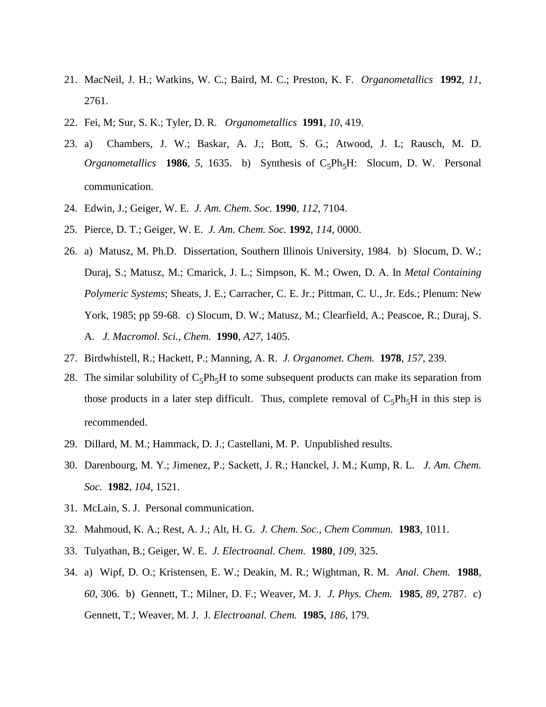- 21. MacNeil, J. H.; Watkins, W. C.; Baird, M. C.; Preston, K. F. *Organometallics* **1992**, *11*, 2761.
- 22. Fei, M; Sur, S. K.; Tyler, D. R. *Organometallics* **1991**, *10*, 419.
- 23. a) Chambers, J. W.; Baskar, A. J.; Bott, S. G.; Atwood, J. L; Rausch, M. D. *Organometallics* **1986**, 5, 1635. b) Synthesis of C<sub>5</sub>Ph<sub>5</sub>H: Slocum, D. W. Personal communication.
- 24. Edwin, J.; Geiger, W. E. *J. Am. Chem. Soc.* **1990**, *112*, 7104.
- 25. Pierce, D. T.; Geiger, W. E. *J. Am. Chem. Soc.* **1992**, *114*, 0000.
- 26. a) Matusz, M. Ph.D. Dissertation, Southern Illinois University, 1984. b) Slocum, D. W.; Duraj, S.; Matusz, M.; Cmarick, J. L.; Simpson, K. M.; Owen, D. A. In *Metal Containing Polymeric Systems*; Sheats, J. E.; Carracher, C. E. Jr.; Pittman, C. U., Jr. Eds.; Plenum: New York, 1985; pp 59-68. c) Slocum, D. W.; Matusz, M.; Clearfield, A.; Peascoe, R.; Duraj, S. A. *J. Macromol. Sci., Chem.* **1990**, *A27*, 1405.
- 27. Birdwhistell, R.; Hackett, P.; Manning, A. R. *J. Organomet. Chem.* **1978**, *157*, 239.
- 28. The similar solubility of  $C_5Ph_5H$  to some subsequent products can make its separation from those products in a later step difficult. Thus, complete removal of  $C_5Ph_5H$  in this step is recommended.
- 29. Dillard, M. M.; Hammack, D. J.; Castellani, M. P. Unpublished results.
- 30. Darenbourg, M. Y.; Jimenez, P.; Sackett, J. R.; Hanckel, J. M.; Kump, R. L. *J. Am. Chem. Soc.* **1982**, *104*, 1521.
- 31. McLain, S. J. Personal communication.
- 32. Mahmoud, K. A.; Rest, A. J.; Alt, H. G. *J. Chem. Soc., Chem Commun.* **1983**, 1011.
- 33. Tulyathan, B.; Geiger, W. E. *J. Electroanal. Chem.* **1980**, *109*, 325.
- 34. a) Wipf, D. O.; Kristensen, E. W.; Deakin, M. R.; Wightman, R. M. *Anal. Chem.* **1988**, *60*, 306. b) Gennett, T.; Milner, D. F.; Weaver, M. J. *J. Phys. Chem.* **1985**, *89*, 2787. c) Gennett, T.; Weaver, M. J. J*. Electroanal. Chem.* **1985**, *186*, 179.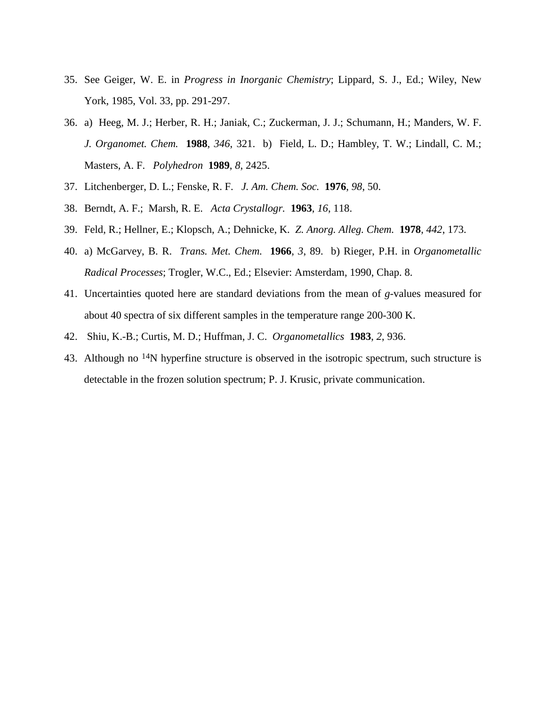- 35. See Geiger, W. E. in *Progress in Inorganic Chemistry*; Lippard, S. J., Ed.; Wiley, New York, 1985, Vol. 33, pp. 291-297.
- 36. a) Heeg, M. J.; Herber, R. H.; Janiak, C.; Zuckerman, J. J.; Schumann, H.; Manders, W. F. *J. Organomet. Chem.* **1988**, *346*, 321. b) Field, L. D.; Hambley, T. W.; Lindall, C. M.; Masters, A. F. *Polyhedron* **1989**, *8*, 2425.
- 37. Litchenberger, D. L.; Fenske, R. F. *J. Am. Chem. Soc.* **1976**, *98*, 50.
- 38. Berndt, A. F.; Marsh, R. E. *Acta Crystallogr.* **1963**, *16*, 118.
- 39. Feld, R.; Hellner, E.; Klopsch, A.; Dehnicke, K. *Z. Anorg. Alleg. Chem.* **1978**, *442*, 173.
- 40. a) McGarvey, B. R. *Trans. Met. Chem.* **1966**, *3*, 89. b) Rieger, P.H. in *Organometallic Radical Processes*; Trogler, W.C., Ed.; Elsevier: Amsterdam, 1990, Chap. 8.
- 41. Uncertainties quoted here are standard deviations from the mean of *g*-values measured for about 40 spectra of six different samples in the temperature range 200-300 K.
- 42. Shiu, K.-B.; Curtis, M. D.; Huffman, J. C. *Organometallics* **1983**, *2*, 936.
- 43. Although no <sup>14</sup>N hyperfine structure is observed in the isotropic spectrum, such structure is detectable in the frozen solution spectrum; P. J. Krusic, private communication.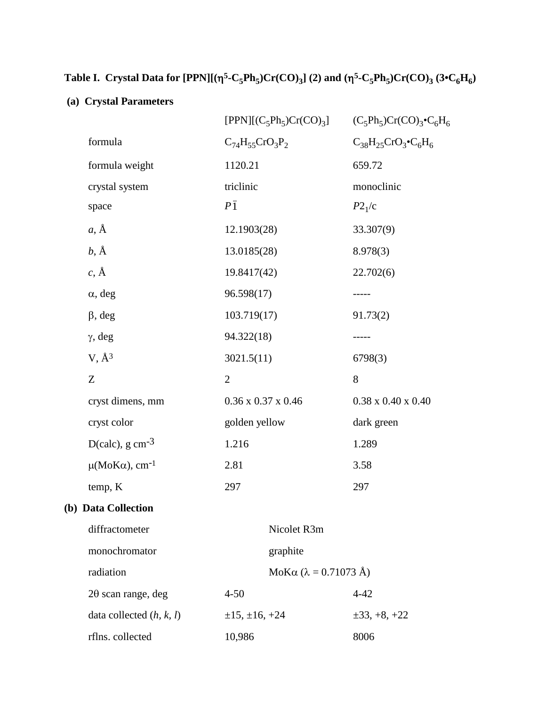# **Table I. Crystal Data for [PPN][(** $\eta^5$ **-C<sub>5</sub>Ph<sub>5</sub>)Cr(CO)<sub>3</sub>] (2) and (** $\eta^5$ **-C<sub>5</sub>Ph<sub>5</sub>)Cr(CO)<sub>3</sub> (3•C<sub>6</sub>H<sub>6</sub>)**

### **(a) Crystal Parameters**

|                                |                                | $[PPN]$ [ $(C_5Ph_5)Cr(CO)_3$ ] | $(C_5Ph_5)Cr(CO)_3\bullet C_6H_6$ |
|--------------------------------|--------------------------------|---------------------------------|-----------------------------------|
| formula                        | $C_{74}H_{55}CrO_3P_2$         |                                 | $C_{38}H_{25}CrO_3\bullet C_6H_6$ |
| formula weight                 | 1120.21                        |                                 | 659.72                            |
| crystal system                 | triclinic                      |                                 | monoclinic                        |
| space                          | $P\bar{1}$                     |                                 | P2 <sub>1</sub> /c                |
| $a, \AA$                       | 12.1903(28)                    |                                 | 33.307(9)                         |
| $b, \AA$                       | 13.0185(28)                    |                                 | 8.978(3)                          |
| $c, \AA$                       | 19.8417(42)                    |                                 | 22.702(6)                         |
| $\alpha$ , deg                 | 96.598(17)                     |                                 | -----                             |
| $\beta$ , deg                  | 103.719(17)                    |                                 | 91.73(2)                          |
| $\gamma$ , deg                 | 94.322(18)                     |                                 | -----                             |
| $V, \AA^3$                     | 3021.5(11)                     |                                 | 6798(3)                           |
| Z                              | $\mathbf{2}$                   |                                 | 8                                 |
| cryst dimens, mm               | $0.36 \times 0.37 \times 0.46$ |                                 | $0.38 \times 0.40 \times 0.40$    |
| cryst color                    | golden yellow                  |                                 | dark green                        |
| D(calc), $g \text{ cm}^{-3}$   | 1.216                          |                                 | 1.289                             |
| $\mu(MoKa)$ , cm <sup>-1</sup> | 2.81                           |                                 | 3.58                              |
| temp, K                        | 297                            |                                 | 297                               |
| (b) Data Collection            |                                |                                 |                                   |
| diffractometer                 |                                | Nicolet R3m                     |                                   |
| monochromator                  |                                | graphite                        |                                   |
| radiation                      |                                | MoKα (λ = 0.71073 Å)            |                                   |
| $2\theta$ scan range, deg      | $4 - 50$                       |                                 | $4 - 42$                          |
| data collected $(h, k, l)$     | $\pm 15, \pm 16, +24$          |                                 | $\pm 33, +8, +22$                 |
| rflns. collected               | 10,986                         |                                 | 8006                              |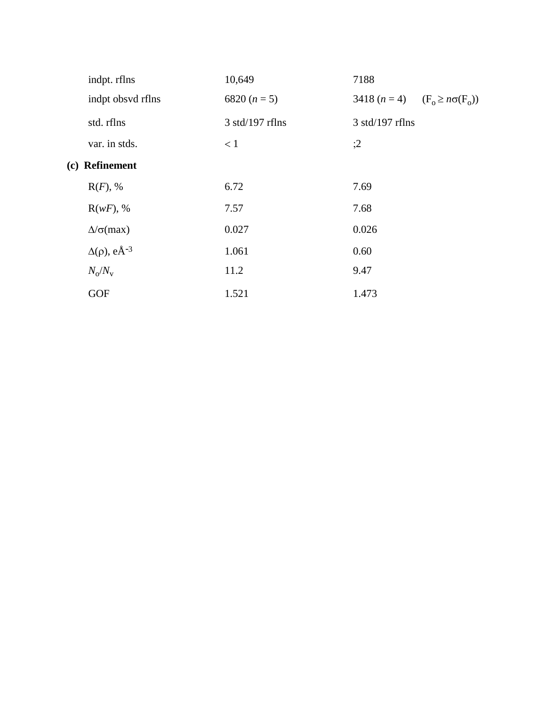|     | indpt. rflns                      | 10,649            | 7188                                     |
|-----|-----------------------------------|-------------------|------------------------------------------|
|     | indpt obsvd rflns                 | 6820 $(n = 5)$    | 3418 $(n = 4)$ $(F_0 \geq n\sigma(F_0))$ |
|     | std. rflns                        | $3$ std/197 rflns | $3$ std/197 rflns                        |
|     | var. in stds.                     | < 1               | ;2                                       |
| (c) | <b>Refinement</b>                 |                   |                                          |
|     | $R(F)$ , %                        | 6.72              | 7.69                                     |
|     | $R(wF)$ , %                       | 7.57              | 7.68                                     |
|     | $\Delta/\sigma$ (max)             | 0.027             | 0.026                                    |
|     | $\Delta(\rho)$ , eÅ <sup>-3</sup> | 1.061             | 0.60                                     |
|     | $N_{\rm o}/N_{\rm v}$             | 11.2              | 9.47                                     |
|     | <b>GOF</b>                        | 1.521             | 1.473                                    |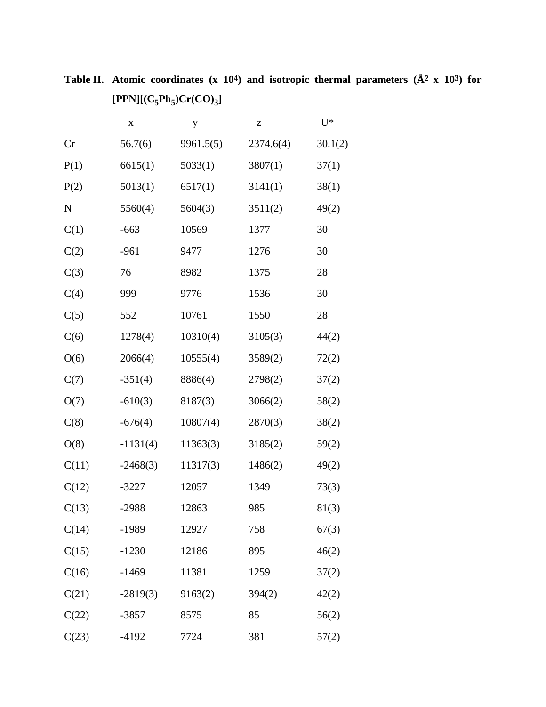**Table II. Atomic coordinates (x 104) and isotropic thermal parameters (Å2 x 103) for**   $[PPN] [(C_5Ph_5)Cr(CO)_3]$ 

|       | X          | y         | Z         | $U^*$   |
|-------|------------|-----------|-----------|---------|
| Cr    | 56.7(6)    | 9961.5(5) | 2374.6(4) | 30.1(2) |
| P(1)  | 6615(1)    | 5033(1)   | 3807(1)   | 37(1)   |
| P(2)  | 5013(1)    | 6517(1)   | 3141(1)   | 38(1)   |
| N     | 5560(4)    | 5604(3)   | 3511(2)   | 49(2)   |
| C(1)  | $-663$     | 10569     | 1377      | 30      |
| C(2)  | $-961$     | 9477      | 1276      | 30      |
| C(3)  | 76         | 8982      | 1375      | 28      |
| C(4)  | 999        | 9776      | 1536      | 30      |
| C(5)  | 552        | 10761     | 1550      | 28      |
| C(6)  | 1278(4)    | 10310(4)  | 3105(3)   | 44(2)   |
| O(6)  | 2066(4)    | 10555(4)  | 3589(2)   | 72(2)   |
| C(7)  | $-351(4)$  | 8886(4)   | 2798(2)   | 37(2)   |
| O(7)  | $-610(3)$  | 8187(3)   | 3066(2)   | 58(2)   |
| C(8)  | $-676(4)$  | 10807(4)  | 2870(3)   | 38(2)   |
| O(8)  | $-1131(4)$ | 11363(3)  | 3185(2)   | 59(2)   |
| C(11) | $-2468(3)$ | 11317(3)  | 1486(2)   | 49(2)   |
| C(12) | $-3227$    | 12057     | 1349      | 73(3)   |
| C(13) | $-2988$    | 12863     | 985       | 81(3)   |
| C(14) | $-1989$    | 12927     | 758       | 67(3)   |
| C(15) | $-1230$    | 12186     | 895       | 46(2)   |
| C(16) | $-1469$    | 11381     | 1259      | 37(2)   |
| C(21) | $-2819(3)$ | 9163(2)   | 394(2)    | 42(2)   |
| C(22) | $-3857$    | 8575      | 85        | 56(2)   |
| C(23) | $-4192$    | 7724      | 381       | 57(2)   |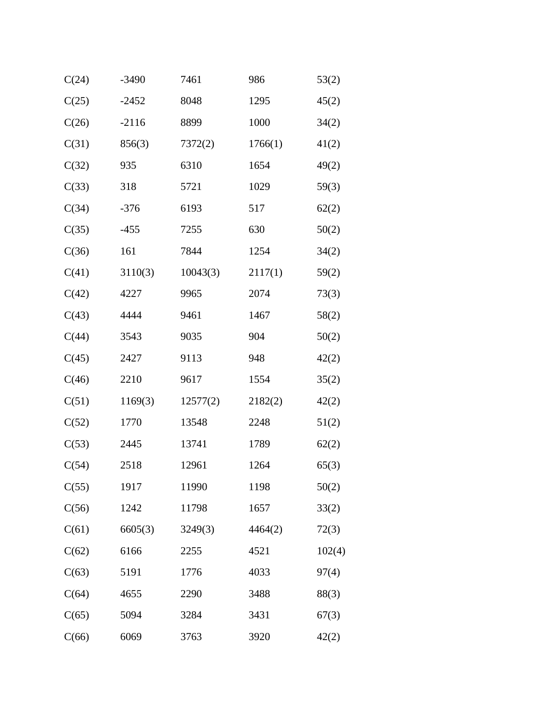| C(24) | $-3490$ | 7461     | 986     | 53(2)  |
|-------|---------|----------|---------|--------|
| C(25) | $-2452$ | 8048     | 1295    | 45(2)  |
| C(26) | $-2116$ | 8899     | 1000    | 34(2)  |
| C(31) | 856(3)  | 7372(2)  | 1766(1) | 41(2)  |
| C(32) | 935     | 6310     | 1654    | 49(2)  |
| C(33) | 318     | 5721     | 1029    | 59(3)  |
| C(34) | $-376$  | 6193     | 517     | 62(2)  |
| C(35) | $-455$  | 7255     | 630     | 50(2)  |
| C(36) | 161     | 7844     | 1254    | 34(2)  |
| C(41) | 3110(3) | 10043(3) | 2117(1) | 59(2)  |
| C(42) | 4227    | 9965     | 2074    | 73(3)  |
| C(43) | 4444    | 9461     | 1467    | 58(2)  |
| C(44) | 3543    | 9035     | 904     | 50(2)  |
| C(45) | 2427    | 9113     | 948     | 42(2)  |
| C(46) | 2210    | 9617     | 1554    | 35(2)  |
| C(51) | 1169(3) | 12577(2) | 2182(2) | 42(2)  |
| C(52) | 1770    | 13548    | 2248    | 51(2)  |
| C(53) | 2445    | 13741    | 1789    | 62(2)  |
| C(54) | 2518    | 12961    | 1264    | 65(3)  |
| C(55) | 1917    | 11990    | 1198    | 50(2)  |
| C(56) | 1242    | 11798    | 1657    | 33(2)  |
| C(61) | 6605(3) | 3249(3)  | 4464(2) | 72(3)  |
| C(62) | 6166    | 2255     | 4521    | 102(4) |
| C(63) | 5191    | 1776     | 4033    | 97(4)  |
| C(64) | 4655    | 2290     | 3488    | 88(3)  |
| C(65) | 5094    | 3284     | 3431    | 67(3)  |
| C(66) | 6069    | 3763     | 3920    | 42(2)  |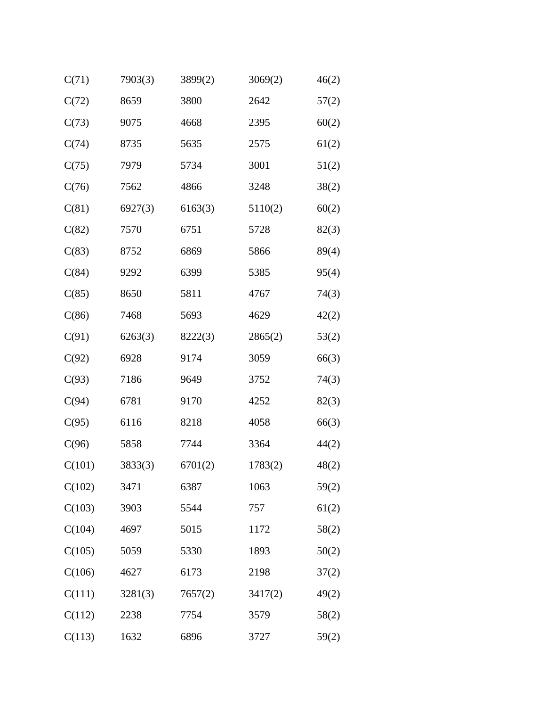| C(71)  | 7903(3) | 3899(2) | 3069(2) | 46(2) |
|--------|---------|---------|---------|-------|
| C(72)  | 8659    | 3800    | 2642    | 57(2) |
| C(73)  | 9075    | 4668    | 2395    | 60(2) |
| C(74)  | 8735    | 5635    | 2575    | 61(2) |
| C(75)  | 7979    | 5734    | 3001    | 51(2) |
| C(76)  | 7562    | 4866    | 3248    | 38(2) |
| C(81)  | 6927(3) | 6163(3) | 5110(2) | 60(2) |
| C(82)  | 7570    | 6751    | 5728    | 82(3) |
| C(83)  | 8752    | 6869    | 5866    | 89(4) |
| C(84)  | 9292    | 6399    | 5385    | 95(4) |
| C(85)  | 8650    | 5811    | 4767    | 74(3) |
| C(86)  | 7468    | 5693    | 4629    | 42(2) |
| C(91)  | 6263(3) | 8222(3) | 2865(2) | 53(2) |
| C(92)  | 6928    | 9174    | 3059    | 66(3) |
| C(93)  | 7186    | 9649    | 3752    | 74(3) |
| C(94)  | 6781    | 9170    | 4252    | 82(3) |
| C(95)  | 6116    | 8218    | 4058    | 66(3) |
| C(96)  | 5858    | 7744    | 3364    | 44(2) |
| C(101) | 3833(3) | 6701(2) | 1783(2) | 48(2) |
| C(102) | 3471    | 6387    | 1063    | 59(2) |
| C(103) | 3903    | 5544    | 757     | 61(2) |
| C(104) | 4697    | 5015    | 1172    | 58(2) |
| C(105) | 5059    | 5330    | 1893    | 50(2) |
| C(106) | 4627    | 6173    | 2198    | 37(2) |
| C(111) | 3281(3) | 7657(2) | 3417(2) | 49(2) |
| C(112) | 2238    | 7754    | 3579    | 58(2) |
| C(113) | 1632    | 6896    | 3727    | 59(2) |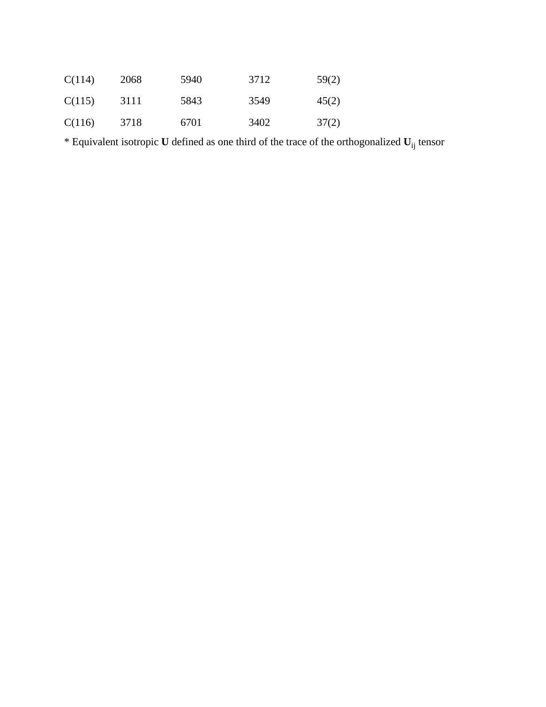| C(114) | 2068 | 5940 | 3712 | 59(2) |
|--------|------|------|------|-------|
| C(115) | 3111 | 5843 | 3549 | 45(2) |
| C(116) | 3718 | 6701 | 3402 | 37(2) |

\* Equivalent isotropic **U** defined as one third of the trace of the orthogonalized **U**ij tensor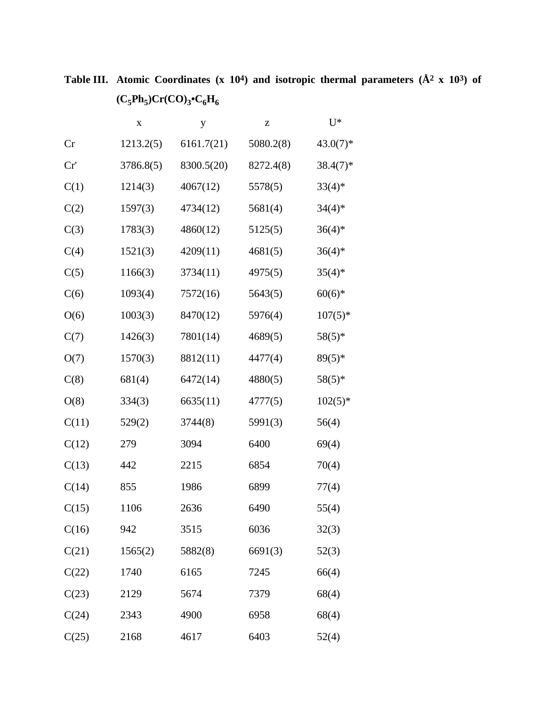**Table III. Atomic Coordinates (x 104) and isotropic thermal parameters (Å2 x 103) of**   $(C_5Ph_5)Cr(CO)_3 \cdot C_6H_6$ 

|       | X         | у          | z         | $U^*$       |
|-------|-----------|------------|-----------|-------------|
| Cr    | 1213.2(5) | 6161.7(21) | 5080.2(8) | $43.0(7)$ * |
| Cr'   | 3786.8(5) | 8300.5(20) | 8272.4(8) | $38.4(7)$ * |
| C(1)  | 1214(3)   | 4067(12)   | 5578(5)   | $33(4)$ *   |
| C(2)  | 1597(3)   | 4734(12)   | 5681(4)   | $34(4)*$    |
| C(3)  | 1783(3)   | 4860(12)   | 5125(5)   | $36(4)$ *   |
| C(4)  | 1521(3)   | 4209(11)   | 4681(5)   | $36(4)$ *   |
| C(5)  | 1166(3)   | 3734(11)   | 4975(5)   | $35(4)$ *   |
| C(6)  | 1093(4)   | 7572(16)   | 5643(5)   | $60(6)*$    |
| O(6)  | 1003(3)   | 8470(12)   | 5976(4)   | $107(5)*$   |
| C(7)  | 1426(3)   | 7801(14)   | 4689(5)   | 58(5)*      |
| O(7)  | 1570(3)   | 8812(11)   | 4477(4)   | $89(5)*$    |
| C(8)  | 681(4)    | 6472(14)   | 4880(5)   | $58(5)*$    |
| O(8)  | 334(3)    | 6635(11)   | 4777(5)   | $102(5)$ *  |
| C(11) | 529(2)    | 3744(8)    | 5991(3)   | 56(4)       |
| C(12) | 279       | 3094       | 6400      | 69(4)       |
| C(13) | 442       | 2215       | 6854      | 70(4)       |
| C(14) | 855       | 1986       | 6899      | 77(4)       |
| C(15) | 1106      | 2636       | 6490      | 55(4)       |
| C(16) | 942       | 3515       | 6036      | 32(3)       |
| C(21) | 1565(2)   | 5882(8)    | 6691(3)   | 52(3)       |
| C(22) | 1740      | 6165       | 7245      | 66(4)       |
| C(23) | 2129      | 5674       | 7379      | 68(4)       |
| C(24) | 2343      | 4900       | 6958      | 68(4)       |
| C(25) | 2168      | 4617       | 6403      | 52(4)       |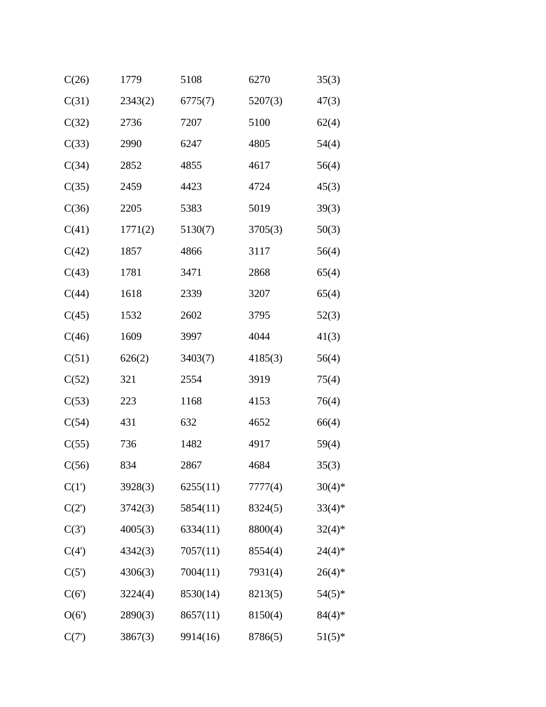| C(26)    | 1779    | 5108     | 6270    | 35(3)     |
|----------|---------|----------|---------|-----------|
| C(31)    | 2343(2) | 6775(7)  | 5207(3) | 47(3)     |
| C(32)    | 2736    | 7207     | 5100    | 62(4)     |
| C(33)    | 2990    | 6247     | 4805    | 54(4)     |
| C(34)    | 2852    | 4855     | 4617    | 56(4)     |
| C(35)    | 2459    | 4423     | 4724    | 45(3)     |
| C(36)    | 2205    | 5383     | 5019    | 39(3)     |
| C(41)    | 1771(2) | 5130(7)  | 3705(3) | 50(3)     |
| C(42)    | 1857    | 4866     | 3117    | 56(4)     |
| C(43)    | 1781    | 3471     | 2868    | 65(4)     |
| C(44)    | 1618    | 2339     | 3207    | 65(4)     |
| C(45)    | 1532    | 2602     | 3795    | 52(3)     |
| C(46)    | 1609    | 3997     | 4044    | 41(3)     |
| C(51)    | 626(2)  | 3403(7)  | 4185(3) | 56(4)     |
| C(52)    | 321     | 2554     | 3919    | 75(4)     |
| C(53)    | 223     | 1168     | 4153    | 76(4)     |
| C(54)    | 431     | 632      | 4652    | 66(4)     |
| C(55)    | 736     | 1482     | 4917    | 59(4)     |
| C(56)    | 834     | 2867     | 4684    | 35(3)     |
| C(1')    | 3928(3) | 6255(11) | 7777(4) | $30(4)*$  |
| $C(2^r)$ | 3742(3) | 5854(11) | 8324(5) | $33(4)*$  |
| C(3')    | 4005(3) | 6334(11) | 8800(4) | $32(4)*$  |
| C(4)     | 4342(3) | 7057(11) | 8554(4) | $24(4)*$  |
| C(5')    | 4306(3) | 7004(11) | 7931(4) | $26(4)$ * |
| C(6')    | 3224(4) | 8530(14) | 8213(5) | $54(5)*$  |
| O(6')    | 2890(3) | 8657(11) | 8150(4) | $84(4)*$  |
| C(7)     | 3867(3) | 9914(16) | 8786(5) | $51(5)*$  |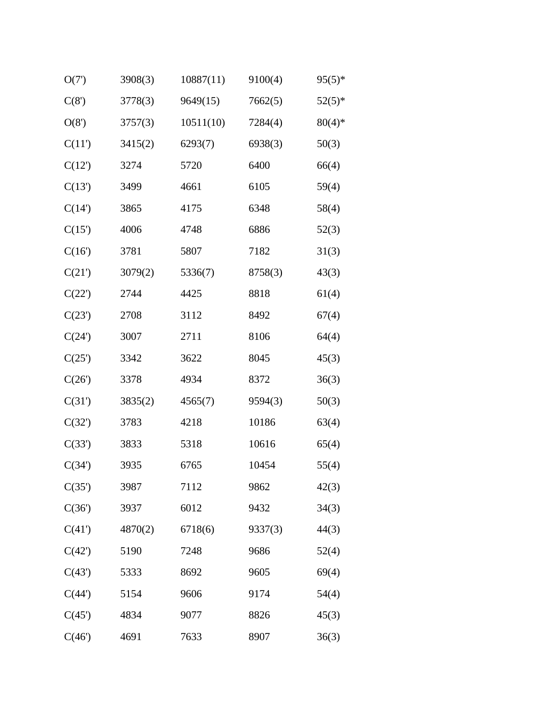| O(7)   | 3908(3) | 10887(11) | 9100(4) | $95(5)*$ |
|--------|---------|-----------|---------|----------|
| C(8')  | 3778(3) | 9649(15)  | 7662(5) | $52(5)*$ |
| O(8')  | 3757(3) | 10511(10) | 7284(4) | $80(4)*$ |
| C(11)  | 3415(2) | 6293(7)   | 6938(3) | 50(3)    |
| C(12)  | 3274    | 5720      | 6400    | 66(4)    |
| C(13') | 3499    | 4661      | 6105    | 59(4)    |
| C(14)  | 3865    | 4175      | 6348    | 58(4)    |
| C(15)  | 4006    | 4748      | 6886    | 52(3)    |
| C(16)  | 3781    | 5807      | 7182    | 31(3)    |
| C(21') | 3079(2) | 5336(7)   | 8758(3) | 43(3)    |
| C(22') | 2744    | 4425      | 8818    | 61(4)    |
| C(23') | 2708    | 3112      | 8492    | 67(4)    |
| C(24)  | 3007    | 2711      | 8106    | 64(4)    |
| C(25') | 3342    | 3622      | 8045    | 45(3)    |
| C(26') | 3378    | 4934      | 8372    | 36(3)    |
| C(31') | 3835(2) | 4565(7)   | 9594(3) | 50(3)    |
| C(32') | 3783    | 4218      | 10186   | 63(4)    |
| C(33') | 3833    | 5318      | 10616   | 65(4)    |
| C(34') | 3935    | 6765      | 10454   | 55(4)    |
| C(35') | 3987    | 7112      | 9862    | 42(3)    |
| C(36') | 3937    | 6012      | 9432    | 34(3)    |
| C(41)  | 4870(2) | 6718(6)   | 9337(3) | 44(3)    |
| C(42') | 5190    | 7248      | 9686    | 52(4)    |
| C(43') | 5333    | 8692      | 9605    | 69(4)    |
| C(44') | 5154    | 9606      | 9174    | 54(4)    |
| C(45)  | 4834    | 9077      | 8826    | 45(3)    |
| C(46)  | 4691    | 7633      | 8907    | 36(3)    |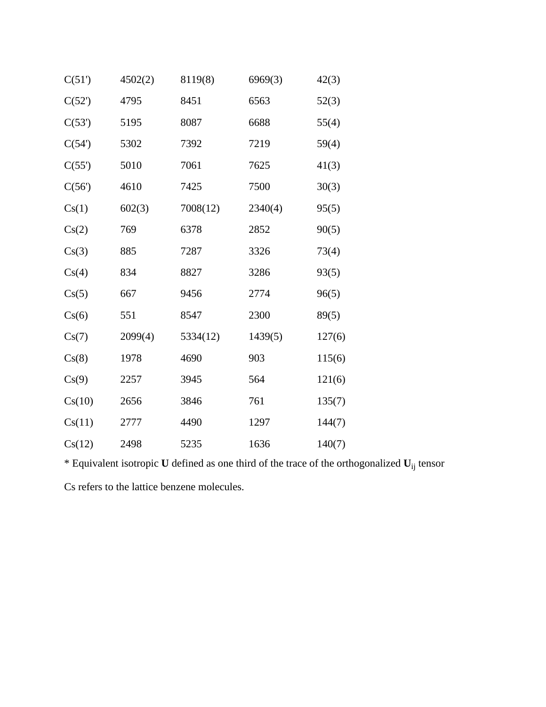| C(51)  | 4502(2) | 8119(8)  | 6969(3) | 42(3)  |
|--------|---------|----------|---------|--------|
| C(52)  | 4795    | 8451     | 6563    | 52(3)  |
| C(53') | 5195    | 8087     | 6688    | 55(4)  |
| C(54)  | 5302    | 7392     | 7219    | 59(4)  |
| C(55)  | 5010    | 7061     | 7625    | 41(3)  |
| C(56)  | 4610    | 7425     | 7500    | 30(3)  |
| Cs(1)  | 602(3)  | 7008(12) | 2340(4) | 95(5)  |
| Cs(2)  | 769     | 6378     | 2852    | 90(5)  |
| Cs(3)  | 885     | 7287     | 3326    | 73(4)  |
| Cs(4)  | 834     | 8827     | 3286    | 93(5)  |
| Cs(5)  | 667     | 9456     | 2774    | 96(5)  |
| Cs(6)  | 551     | 8547     | 2300    | 89(5)  |
| Cs(7)  | 2099(4) | 5334(12) | 1439(5) | 127(6) |
| Cs(8)  | 1978    | 4690     | 903     | 115(6) |
| Cs(9)  | 2257    | 3945     | 564     | 121(6) |
| Cs(10) | 2656    | 3846     | 761     | 135(7) |
| Cs(11) | 2777    | 4490     | 1297    | 144(7) |
| Cs(12) | 2498    | 5235     | 1636    | 140(7) |

\* Equivalent isotropic **U** defined as one third of the trace of the orthogonalized **U**ij tensor Cs refers to the lattice benzene molecules.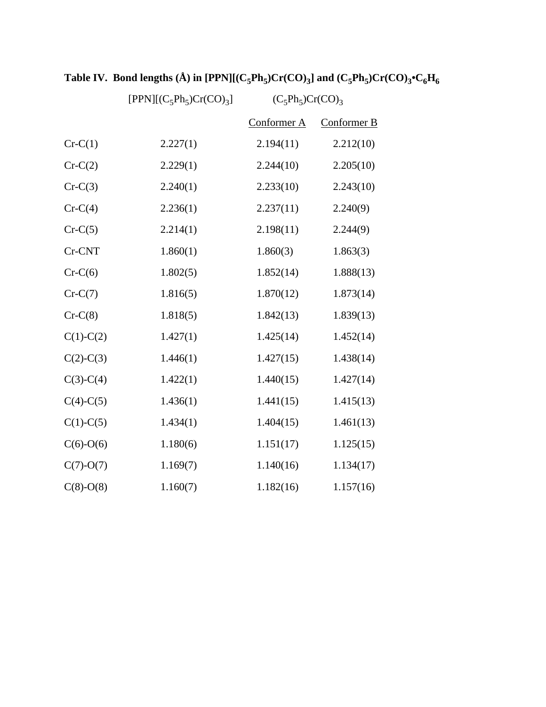|             | $[PPN] [(C_5Ph_5)Cr(CO)_3]$ | $(C_5Ph_5)Cr(CO)_3$ |             |
|-------------|-----------------------------|---------------------|-------------|
|             |                             | Conformer A         | Conformer B |
| $Cr-C(1)$   | 2.227(1)                    | 2.194(11)           | 2.212(10)   |
| $Cr-C(2)$   | 2.229(1)                    | 2.244(10)           | 2.205(10)   |
| $Cr-C(3)$   | 2.240(1)                    | 2.233(10)           | 2.243(10)   |
| $Cr-C(4)$   | 2.236(1)                    | 2.237(11)           | 2.240(9)    |
| $Cr-C(5)$   | 2.214(1)                    | 2.198(11)           | 2.244(9)    |
| Cr-CNT      | 1.860(1)                    | 1.860(3)            | 1.863(3)    |
| $Cr-C(6)$   | 1.802(5)                    | 1.852(14)           | 1.888(13)   |
| $Cr-C(7)$   | 1.816(5)                    | 1.870(12)           | 1.873(14)   |
| $Cr-C(8)$   | 1.818(5)                    | 1.842(13)           | 1.839(13)   |
| $C(1)-C(2)$ | 1.427(1)                    | 1.425(14)           | 1.452(14)   |
| $C(2)-C(3)$ | 1.446(1)                    | 1.427(15)           | 1.438(14)   |
| $C(3)-C(4)$ | 1.422(1)                    | 1.440(15)           | 1.427(14)   |
| $C(4)-C(5)$ | 1.436(1)                    | 1.441(15)           | 1.415(13)   |
| $C(1)-C(5)$ | 1.434(1)                    | 1.404(15)           | 1.461(13)   |
| $C(6)-O(6)$ | 1.180(6)                    | 1.151(17)           | 1.125(15)   |
| $C(7)-O(7)$ | 1.169(7)                    | 1.140(16)           | 1.134(17)   |
| $C(8)-O(8)$ | 1.160(7)                    | 1.182(16)           | 1.157(16)   |

# Table IV. Bond lengths (Å) in [PPN][ $(C_5Ph_5)Cr(CO)_3$ ] and  $(C_5Ph_5)Cr(CO)_3 \cdot C_6H_6$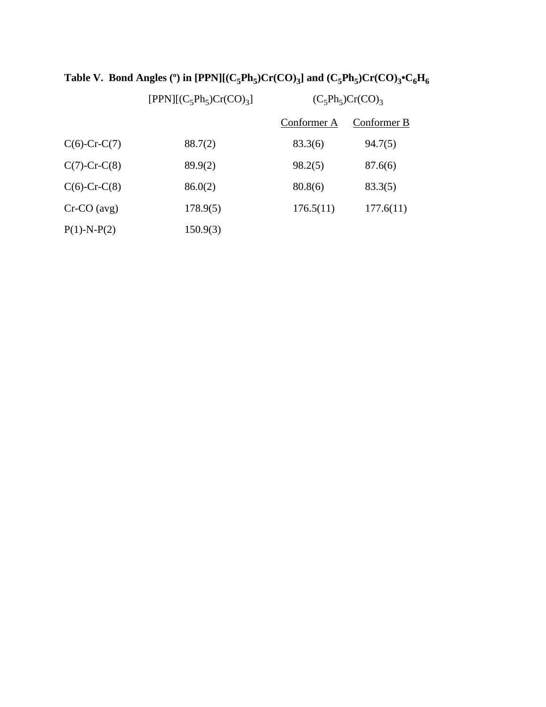|                    | $[PPN] [(C5Ph5)Cr(CO)3]$ | $(C_5Ph_5)Cr(CO)_3$ |             |
|--------------------|--------------------------|---------------------|-------------|
|                    |                          | Conformer A         | Conformer B |
| $C(6)$ -Cr-C(7)    | 88.7(2)                  | 83.3(6)             | 94.7(5)     |
| $C(7)$ -Cr-C $(8)$ | 89.9(2)                  | 98.2(5)             | 87.6(6)     |
| $C(6)$ -Cr-C $(8)$ | 86.0(2)                  | 80.8(6)             | 83.3(5)     |
| $Cr-CO$ (avg)      | 178.9(5)                 | 176.5(11)           | 177.6(11)   |
| $P(1)$ -N- $P(2)$  | 150.9(3)                 |                     |             |

## Table V. Bond Angles (°) in [PPN][ $(C_5Ph_5)Cr(CO)_3$ ] and  $(C_5Ph_5)Cr(CO)_3$ <sup>+</sup>C<sub>6</sub>H<sub>6</sub>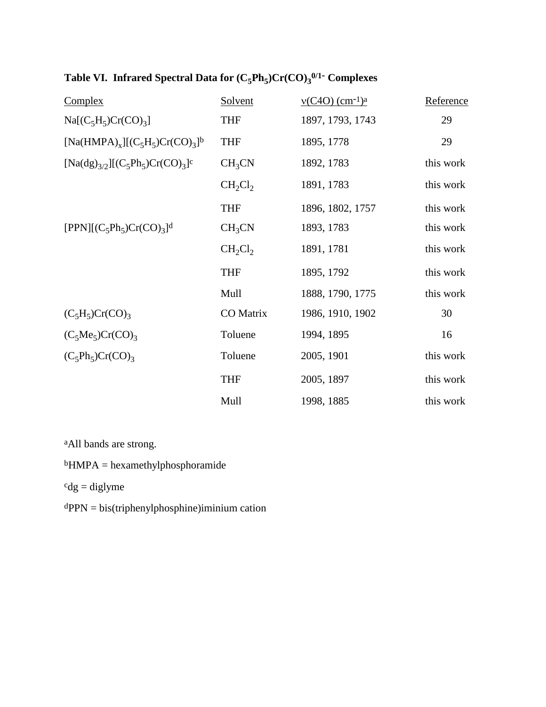| Table VI. Infrared Spectral Data for $(C_5Ph_5)Cr(CO)_3^{0/1}$ Complexes |  |
|--------------------------------------------------------------------------|--|
|--------------------------------------------------------------------------|--|

| <b>Complex</b>                                                                              | Solvent            | $v(C4O)$ (cm <sup>-1)a</sup> | Reference |
|---------------------------------------------------------------------------------------------|--------------------|------------------------------|-----------|
| $Na[(C_5H_5)Cr(CO)_3]$                                                                      | <b>THF</b>         | 1897, 1793, 1743             | 29        |
| [Na(HMPA) <sub>x</sub> ][(C <sub>5</sub> H <sub>5</sub> )Cr(CO) <sub>3</sub> ] <sup>b</sup> | <b>THF</b>         | 1895, 1778                   | 29        |
| $[Na(dg)_{3/2}][(C_5Ph_5)Cr(CO)_3]$ <sup>c</sup>                                            | CH <sub>3</sub> CN | 1892, 1783                   | this work |
|                                                                                             | $CH_2Cl_2$         | 1891, 1783                   | this work |
|                                                                                             | <b>THF</b>         | 1896, 1802, 1757             | this work |
| $[PPN] [(C5Ph5)Cr(CO)3]$ <sup>d</sup>                                                       | CH <sub>3</sub> CN | 1893, 1783                   | this work |
|                                                                                             | $CH_2Cl_2$         | 1891, 1781                   | this work |
|                                                                                             | <b>THF</b>         | 1895, 1792                   | this work |
|                                                                                             | Mull               | 1888, 1790, 1775             | this work |
| $(C_5H_5)Cr(CO)_3$                                                                          | CO Matrix          | 1986, 1910, 1902             | 30        |
| $(C_5Me_5)Cr(CO)_3$                                                                         | Toluene            | 1994, 1895                   | 16        |
| $(C_5Ph_5)Cr(CO)_3$                                                                         | Toluene            | 2005, 1901                   | this work |
|                                                                                             | <b>THF</b>         | 2005, 1897                   | this work |
|                                                                                             | Mull               | 1998, 1885                   | this work |

aAll bands are strong.

bHMPA = hexamethylphosphoramide

 $^{c}dg =$  diglyme

dPPN = bis(triphenylphosphine)iminium cation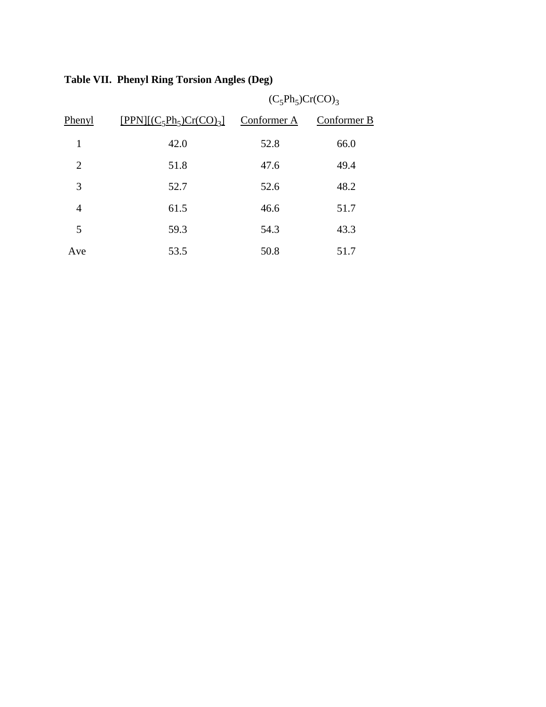|                |                             |             | $(C_5Ph_5)Cr(CO)_3$ |  |
|----------------|-----------------------------|-------------|---------------------|--|
| Phenyl         | $[PPN]$ $(C_5Ph_5)Cr(CO)_3$ | Conformer A | Conformer B         |  |
| 1              | 42.0                        | 52.8        | 66.0                |  |
| 2              | 51.8                        | 47.6        | 49.4                |  |
| 3              | 52.7                        | 52.6        | 48.2                |  |
| $\overline{4}$ | 61.5                        | 46.6        | 51.7                |  |
| 5              | 59.3                        | 54.3        | 43.3                |  |
| Ave            | 53.5                        | 50.8        | 51.7                |  |

### **Table VII. Phenyl Ring Torsion Angles (Deg)**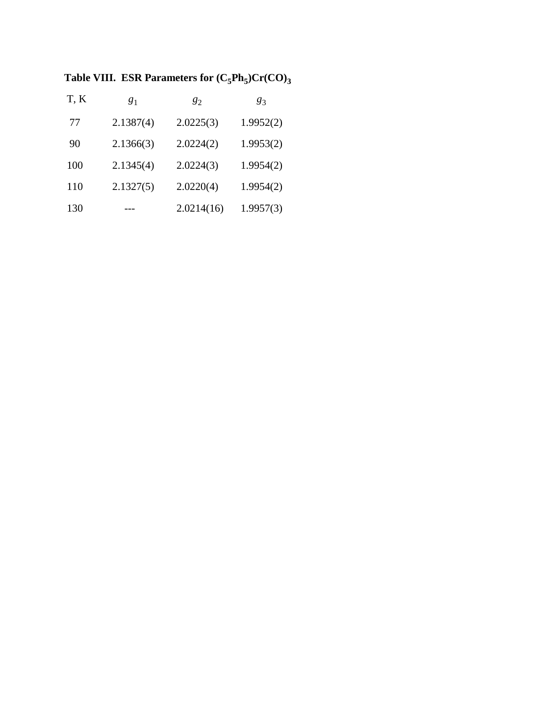Table VIII. ESR Parameters for  $(C_5Ph_5)Cr(CO)_3$ 

| T, K | $g_1$     | 82         | 83        |
|------|-----------|------------|-----------|
| 77   | 2.1387(4) | 2.0225(3)  | 1.9952(2) |
| 90   | 2.1366(3) | 2.0224(2)  | 1.9953(2) |
| 100  | 2.1345(4) | 2.0224(3)  | 1.9954(2) |
| 110  | 2.1327(5) | 2.0220(4)  | 1.9954(2) |
| 130  |           | 2.0214(16) | 1.9957(3) |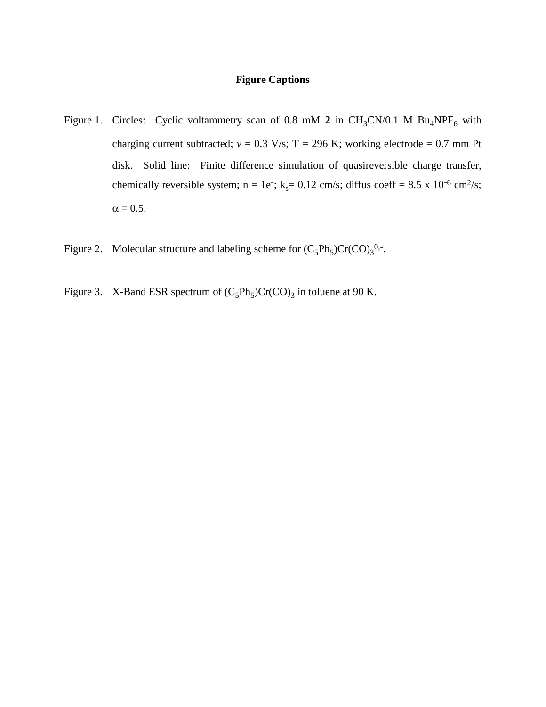#### **Figure Captions**

- Figure 1. Circles: Cyclic voltammetry scan of 0.8 mM  $2$  in CH<sub>3</sub>CN/0.1 M Bu<sub>4</sub>NPF<sub>6</sub> with charging current subtracted;  $v = 0.3$  V/s; T = 296 K; working electrode = 0.7 mm Pt disk. Solid line: Finite difference simulation of quasireversible charge transfer, chemically reversible system; n = 1e<sup>-</sup>; k<sub>s</sub>= 0.12 cm/s; diffus coeff = 8.5 x 10<sup>-6</sup> cm<sup>2</sup>/s;  $\alpha = 0.5$ .
- Figure 2. Molecular structure and labeling scheme for  $(C_5Ph_5)Cr(CO)_3^{0,-}$ .
- Figure 3. X-Band ESR spectrum of  $(C_5Ph_5)Cr(CO)_3$  in toluene at 90 K.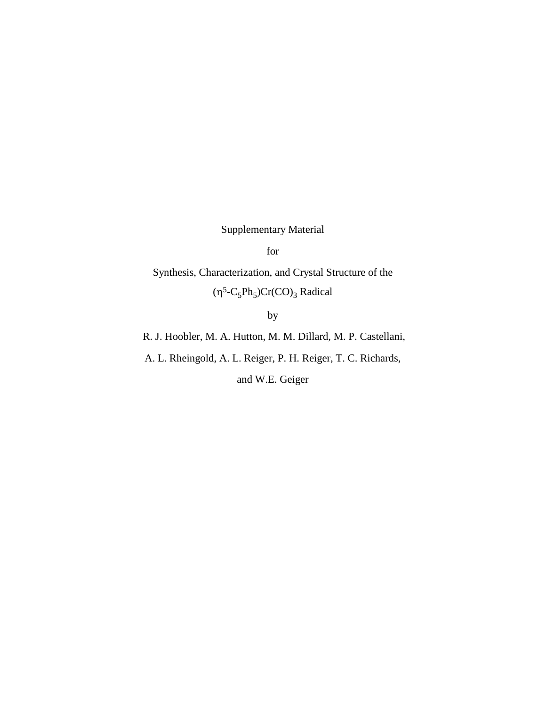Supplementary Material

for

Synthesis, Characterization, and Crystal Structure of the  $(\eta^5$ -C<sub>5</sub>Ph<sub>5</sub>)Cr(CO)<sub>3</sub> Radical

by

R. J. Hoobler, M. A. Hutton, M. M. Dillard, M. P. Castellani,

A. L. Rheingold, A. L. Reiger, P. H. Reiger, T. C. Richards,

and W.E. Geiger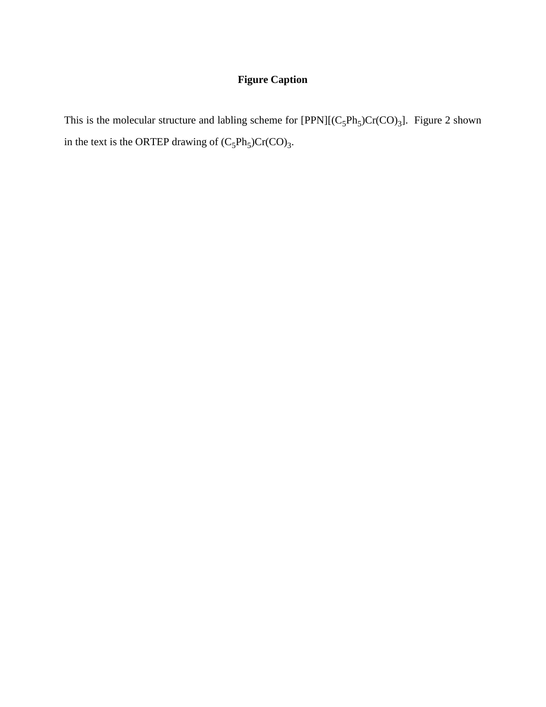### **Figure Caption**

This is the molecular structure and labling scheme for  $[PPN][(C_5Ph_5)Cr(CO)_3]$ . Figure 2 shown in the text is the ORTEP drawing of  $(C_5Ph_5)Cr(CO)_3$ .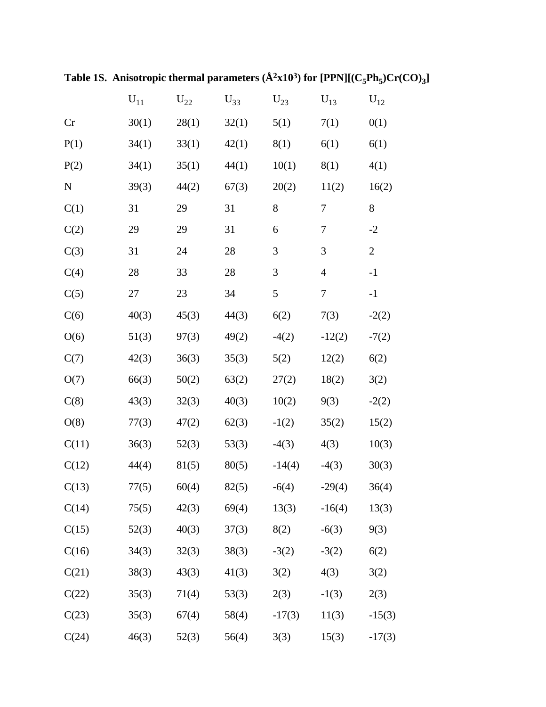|             | $U_{11}$ | $\rm{U}_{22}$ | $U_{33}$ | $\rm U_{23}$ | $U_{13}$ | $U_{12}$       |
|-------------|----------|---------------|----------|--------------|----------|----------------|
| Cr          | 30(1)    | 28(1)         | 32(1)    | 5(1)         | 7(1)     | 0(1)           |
| P(1)        | 34(1)    | 33(1)         | 42(1)    | 8(1)         | 6(1)     | 6(1)           |
| P(2)        | 34(1)    | 35(1)         | 44(1)    | 10(1)        | 8(1)     | 4(1)           |
| $\mathbf N$ | 39(3)    | 44(2)         | 67(3)    | 20(2)        | 11(2)    | 16(2)          |
| C(1)        | 31       | 29            | 31       | 8            | 7        | 8              |
| C(2)        | 29       | 29            | 31       | 6            | 7        | $-2$           |
| C(3)        | 31       | 24            | 28       | 3            | 3        | $\overline{2}$ |
| C(4)        | 28       | 33            | 28       | 3            | 4        | $-1$           |
| C(5)        | 27       | 23            | 34       | 5            | 7        | $-1$           |
| C(6)        | 40(3)    | 45(3)         | 44(3)    | 6(2)         | 7(3)     | $-2(2)$        |
| O(6)        | 51(3)    | 97(3)         | 49(2)    | $-4(2)$      | $-12(2)$ | $-7(2)$        |
| C(7)        | 42(3)    | 36(3)         | 35(3)    | 5(2)         | 12(2)    | 6(2)           |
| O(7)        | 66(3)    | 50(2)         | 63(2)    | 27(2)        | 18(2)    | 3(2)           |
| C(8)        | 43(3)    | 32(3)         | 40(3)    | 10(2)        | 9(3)     | $-2(2)$        |
| O(8)        | 77(3)    | 47(2)         | 62(3)    | $-1(2)$      | 35(2)    | 15(2)          |
| C(11)       | 36(3)    | 52(3)         | 53(3)    | $-4(3)$      | 4(3)     | 10(3)          |
| C(12)       | 44(4)    | 81(5)         | 80(5)    | $-14(4)$     | $-4(3)$  | 30(3)          |
| C(13)       | 77(5)    | 60(4)         | 82(5)    | $-6(4)$      | $-29(4)$ | 36(4)          |
| C(14)       | 75(5)    | 42(3)         | 69(4)    | 13(3)        | $-16(4)$ | 13(3)          |
| C(15)       | 52(3)    | 40(3)         | 37(3)    | 8(2)         | $-6(3)$  | 9(3)           |
| C(16)       | 34(3)    | 32(3)         | 38(3)    | $-3(2)$      | $-3(2)$  | 6(2)           |
| C(21)       | 38(3)    | 43(3)         | 41(3)    | 3(2)         | 4(3)     | 3(2)           |
| C(22)       | 35(3)    | 71(4)         | 53(3)    | 2(3)         | $-1(3)$  | 2(3)           |
| C(23)       | 35(3)    | 67(4)         | 58(4)    | $-17(3)$     | 11(3)    | $-15(3)$       |
| C(24)       | 46(3)    | 52(3)         | 56(4)    | 3(3)         | 15(3)    | $-17(3)$       |

Table 1S. Anisotropic thermal parameters  $(\AA^2x10^3)$  for  $[PPN]$ [ $(C_5Ph_5)Cr(CO)_3$ ]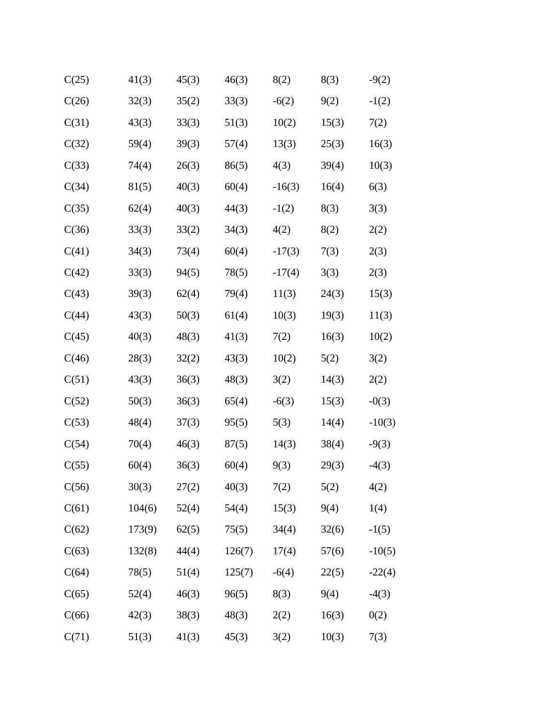| C(25) | 41(3)  | 45(3) | 46(3)  | 8(2)     | 8(3)  | $-9(2)$  |
|-------|--------|-------|--------|----------|-------|----------|
| C(26) | 32(3)  | 35(2) | 33(3)  | $-6(2)$  | 9(2)  | $-1(2)$  |
| C(31) | 43(3)  | 33(3) | 51(3)  | 10(2)    | 15(3) | 7(2)     |
| C(32) | 59(4)  | 39(3) | 57(4)  | 13(3)    | 25(3) | 16(3)    |
| C(33) | 74(4)  | 26(3) | 86(5)  | 4(3)     | 39(4) | 10(3)    |
| C(34) | 81(5)  | 40(3) | 60(4)  | $-16(3)$ | 16(4) | 6(3)     |
| C(35) | 62(4)  | 40(3) | 44(3)  | $-1(2)$  | 8(3)  | 3(3)     |
| C(36) | 33(3)  | 33(2) | 34(3)  | 4(2)     | 8(2)  | 2(2)     |
| C(41) | 34(3)  | 73(4) | 60(4)  | $-17(3)$ | 7(3)  | 2(3)     |
| C(42) | 33(3)  | 94(5) | 78(5)  | $-17(4)$ | 3(3)  | 2(3)     |
| C(43) | 39(3)  | 62(4) | 79(4)  | 11(3)    | 24(3) | 15(3)    |
| C(44) | 43(3)  | 50(3) | 61(4)  | 10(3)    | 19(3) | 11(3)    |
| C(45) | 40(3)  | 48(3) | 41(3)  | 7(2)     | 16(3) | 10(2)    |
| C(46) | 28(3)  | 32(2) | 43(3)  | 10(2)    | 5(2)  | 3(2)     |
| C(51) | 43(3)  | 36(3) | 48(3)  | 3(2)     | 14(3) | 2(2)     |
| C(52) | 50(3)  | 36(3) | 65(4)  | $-6(3)$  | 15(3) | $-0(3)$  |
| C(53) | 48(4)  | 37(3) | 95(5)  | 5(3)     | 14(4) | $-10(3)$ |
| C(54) | 70(4)  | 46(3) | 87(5)  | 14(3)    | 38(4) | $-9(3)$  |
| C(55) | 60(4)  | 36(3) | 60(4)  | 9(3)     | 29(3) | $-4(3)$  |
| C(56) | 30(3)  | 27(2) | 40(3)  | 7(2)     | 5(2)  | 4(2)     |
| C(61) | 104(6) | 52(4) | 54(4)  | 15(3)    | 9(4)  | 1(4)     |
| C(62) | 173(9) | 62(5) | 75(5)  | 34(4)    | 32(6) | $-1(5)$  |
| C(63) | 132(8) | 44(4) | 126(7) | 17(4)    | 57(6) | $-10(5)$ |
| C(64) | 78(5)  | 51(4) | 125(7) | $-6(4)$  | 22(5) | $-22(4)$ |
| C(65) | 52(4)  | 46(3) | 96(5)  | 8(3)     | 9(4)  | $-4(3)$  |
| C(66) | 42(3)  | 38(3) | 48(3)  | 2(2)     | 16(3) | 0(2)     |
| C(71) | 51(3)  | 41(3) | 45(3)  | 3(2)     | 10(3) | 7(3)     |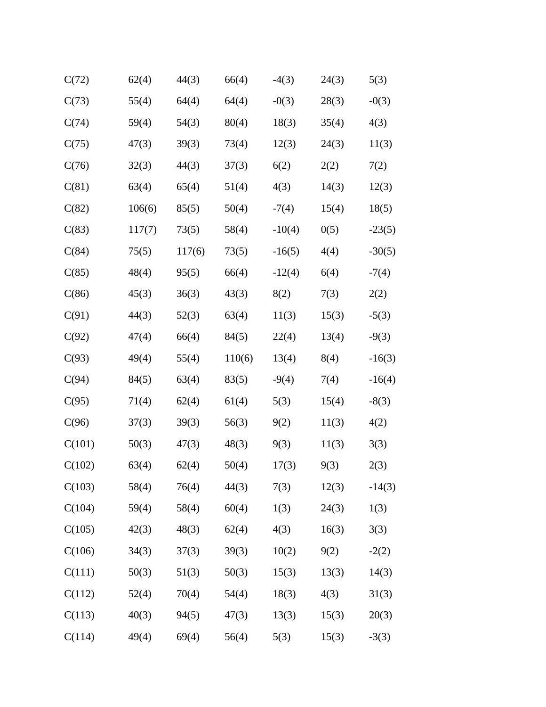| C(72)  | 62(4)  | 44(3)  | 66(4)  | $-4(3)$  | 24(3) | 5(3)     |
|--------|--------|--------|--------|----------|-------|----------|
| C(73)  | 55(4)  | 64(4)  | 64(4)  | $-0(3)$  | 28(3) | $-0(3)$  |
| C(74)  | 59(4)  | 54(3)  | 80(4)  | 18(3)    | 35(4) | 4(3)     |
| C(75)  | 47(3)  | 39(3)  | 73(4)  | 12(3)    | 24(3) | 11(3)    |
| C(76)  | 32(3)  | 44(3)  | 37(3)  | 6(2)     | 2(2)  | 7(2)     |
| C(81)  | 63(4)  | 65(4)  | 51(4)  | 4(3)     | 14(3) | 12(3)    |
| C(82)  | 106(6) | 85(5)  | 50(4)  | $-7(4)$  | 15(4) | 18(5)    |
| C(83)  | 117(7) | 73(5)  | 58(4)  | $-10(4)$ | 0(5)  | $-23(5)$ |
| C(84)  | 75(5)  | 117(6) | 73(5)  | $-16(5)$ | 4(4)  | $-30(5)$ |
| C(85)  | 48(4)  | 95(5)  | 66(4)  | $-12(4)$ | 6(4)  | $-7(4)$  |
| C(86)  | 45(3)  | 36(3)  | 43(3)  | 8(2)     | 7(3)  | 2(2)     |
| C(91)  | 44(3)  | 52(3)  | 63(4)  | 11(3)    | 15(3) | $-5(3)$  |
| C(92)  | 47(4)  | 66(4)  | 84(5)  | 22(4)    | 13(4) | $-9(3)$  |
| C(93)  | 49(4)  | 55(4)  | 110(6) | 13(4)    | 8(4)  | $-16(3)$ |
| C(94)  | 84(5)  | 63(4)  | 83(5)  | $-9(4)$  | 7(4)  | $-16(4)$ |
| C(95)  | 71(4)  | 62(4)  | 61(4)  | 5(3)     | 15(4) | $-8(3)$  |
| C(96)  | 37(3)  | 39(3)  | 56(3)  | 9(2)     | 11(3) | 4(2)     |
| C(101) | 50(3)  | 47(3)  | 48(3)  | 9(3)     | 11(3) | 3(3)     |
| C(102) | 63(4)  | 62(4)  | 50(4)  | 17(3)    | 9(3)  | 2(3)     |
| C(103) | 58(4)  | 76(4)  | 44(3)  | 7(3)     | 12(3) | $-14(3)$ |
| C(104) | 59(4)  | 58(4)  | 60(4)  | 1(3)     | 24(3) | 1(3)     |
| C(105) | 42(3)  | 48(3)  | 62(4)  | 4(3)     | 16(3) | 3(3)     |
| C(106) | 34(3)  | 37(3)  | 39(3)  | 10(2)    | 9(2)  | $-2(2)$  |
| C(111) | 50(3)  | 51(3)  | 50(3)  | 15(3)    | 13(3) | 14(3)    |
| C(112) | 52(4)  | 70(4)  | 54(4)  | 18(3)    | 4(3)  | 31(3)    |
| C(113) | 40(3)  | 94(5)  | 47(3)  | 13(3)    | 15(3) | 20(3)    |
| C(114) | 49(4)  | 69(4)  | 56(4)  | 5(3)     | 15(3) | $-3(3)$  |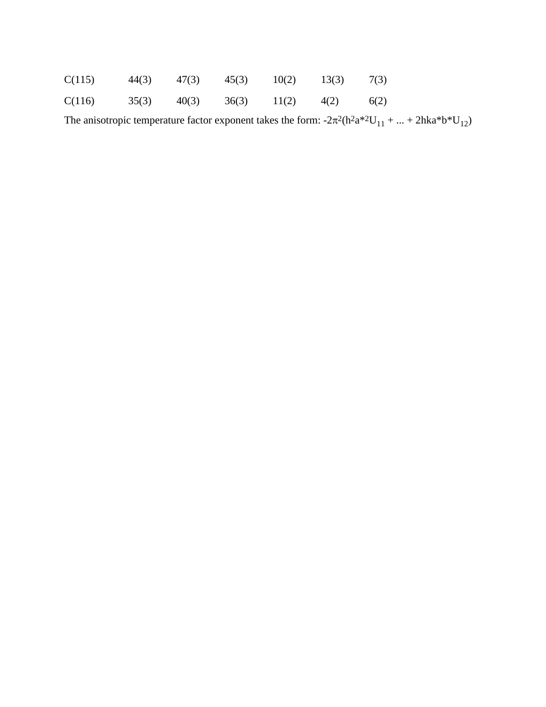| C(115) |  | $44(3)$ $47(3)$ $45(3)$ $10(2)$ $13(3)$ |  |      |
|--------|--|-----------------------------------------|--|------|
| C(116) |  | $35(3)$ $40(3)$ $36(3)$ $11(2)$ $4(2)$  |  | 6(2) |

The anisotropic temperature factor exponent takes the form:  $-2\pi^2(h^2a^{*2}U_{11} + ... + 2hka^{*}b^{*}U_{12})$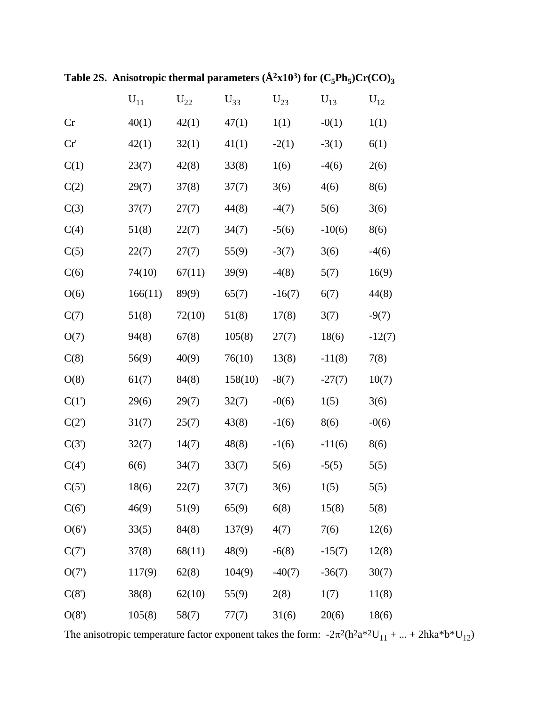|          | ${\rm U}_{11}$ | $\rm{U}_{22}$ | $U_{33}$ | $U_{23}$ | $U_{13}$ | $U_{12}$ |
|----------|----------------|---------------|----------|----------|----------|----------|
| Cr       | 40(1)          | 42(1)         | 47(1)    | 1(1)     | $-0(1)$  | 1(1)     |
| Cr'      | 42(1)          | 32(1)         | 41(1)    | $-2(1)$  | $-3(1)$  | 6(1)     |
| C(1)     | 23(7)          | 42(8)         | 33(8)    | 1(6)     | $-4(6)$  | 2(6)     |
| C(2)     | 29(7)          | 37(8)         | 37(7)    | 3(6)     | 4(6)     | 8(6)     |
| C(3)     | 37(7)          | 27(7)         | 44(8)    | $-4(7)$  | 5(6)     | 3(6)     |
| C(4)     | 51(8)          | 22(7)         | 34(7)    | $-5(6)$  | $-10(6)$ | 8(6)     |
| C(5)     | 22(7)          | 27(7)         | 55(9)    | $-3(7)$  | 3(6)     | $-4(6)$  |
| C(6)     | 74(10)         | 67(11)        | 39(9)    | $-4(8)$  | 5(7)     | 16(9)    |
| O(6)     | 166(11)        | 89(9)         | 65(7)    | $-16(7)$ | 6(7)     | 44(8)    |
| C(7)     | 51(8)          | 72(10)        | 51(8)    | 17(8)    | 3(7)     | $-9(7)$  |
| O(7)     | 94(8)          | 67(8)         | 105(8)   | 27(7)    | 18(6)    | $-12(7)$ |
| C(8)     | 56(9)          | 40(9)         | 76(10)   | 13(8)    | $-11(8)$ | 7(8)     |
| O(8)     | 61(7)          | 84(8)         | 158(10)  | $-8(7)$  | $-27(7)$ | 10(7)    |
| C(1')    | 29(6)          | 29(7)         | 32(7)    | $-0(6)$  | 1(5)     | 3(6)     |
| $C(2^r)$ | 31(7)          | 25(7)         | 43(8)    | $-1(6)$  | 8(6)     | $-0(6)$  |
| C(3')    | 32(7)          | 14(7)         | 48(8)    | $-1(6)$  | $-11(6)$ | 8(6)     |
| C(4)     | 6(6)           | 34(7)         | 33(7)    | 5(6)     | $-5(5)$  | 5(5)     |
| C(5)     | 18(6)          | 22(7)         | 37(7)    | 3(6)     | 1(5)     | 5(5)     |
| C(6)     | 46(9)          | 51(9)         | 65(9)    | 6(8)     | 15(8)    | 5(8)     |
| O(6')    | 33(5)          | 84(8)         | 137(9)   | 4(7)     | 7(6)     | 12(6)    |
| C(7)     | 37(8)          | 68(11)        | 48(9)    | $-6(8)$  | $-15(7)$ | 12(8)    |
| O(7)     | 117(9)         | 62(8)         | 104(9)   | $-40(7)$ | $-36(7)$ | 30(7)    |
| C(8)     | 38(8)          | 62(10)        | 55(9)    | 2(8)     | 1(7)     | 11(8)    |
| O(8')    | 105(8)         | 58(7)         | 77(7)    | 31(6)    | 20(6)    | 18(6)    |

Table 2S. Anisotropic thermal parameters  $(\AA^2x10^3)$  for  $(C_5Ph_5)Cr(CO)_3$ 

The anisotropic temperature factor exponent takes the form:  $-2\pi^2(h^2a^{*2}U_{11} + ... + 2hka^{*}b^{*}U_{12})$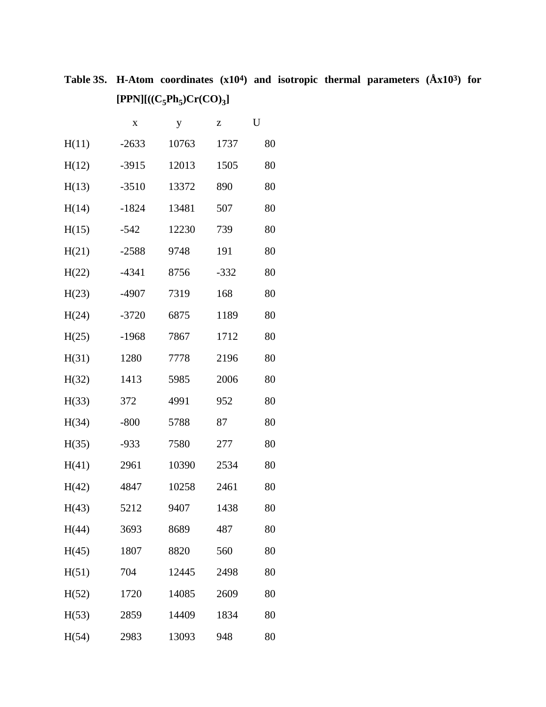**Table 3S. H-Atom coordinates (x104) and isotropic thermal parameters (Åx103) for**   $[PPN] [((C_5Ph_5)Cr(CO)_3]$ 

|       | X       | y     | Z      | U  |
|-------|---------|-------|--------|----|
| H(11) | $-2633$ | 10763 | 1737   | 80 |
| H(12) | $-3915$ | 12013 | 1505   | 80 |
| H(13) | $-3510$ | 13372 | 890    | 80 |
| H(14) | $-1824$ | 13481 | 507    | 80 |
| H(15) | $-542$  | 12230 | 739    | 80 |
| H(21) | $-2588$ | 9748  | 191    | 80 |
| H(22) | $-4341$ | 8756  | $-332$ | 80 |
| H(23) | -4907   | 7319  | 168    | 80 |
| H(24) | $-3720$ | 6875  | 1189   | 80 |
| H(25) | $-1968$ | 7867  | 1712   | 80 |
| H(31) | 1280    | 7778  | 2196   | 80 |
| H(32) | 1413    | 5985  | 2006   | 80 |
| H(33) | 372     | 4991  | 952    | 80 |
| H(34) | $-800$  | 5788  | 87     | 80 |
| H(35) | $-933$  | 7580  | 277    | 80 |
| H(41) | 2961    | 10390 | 2534   | 80 |
| H(42) | 4847    | 10258 | 2461   | 80 |
| H(43) | 5212    | 9407  | 1438   | 80 |
| H(44) | 3693    | 8689  | 487    | 80 |
| H(45) | 1807    | 8820  | 560    | 80 |
| H(51) | 704     | 12445 | 2498   | 80 |
| H(52) | 1720    | 14085 | 2609   | 80 |
| H(53) | 2859    | 14409 | 1834   | 80 |
| H(54) | 2983    | 13093 | 948    | 80 |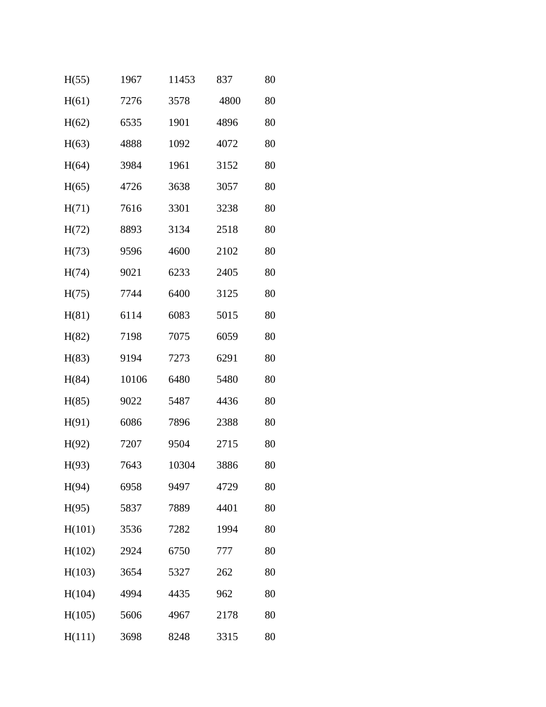| H(55)  | 1967  | 11453 | 837  | 80 |
|--------|-------|-------|------|----|
| H(61)  | 7276  | 3578  | 4800 | 80 |
| H(62)  | 6535  | 1901  | 4896 | 80 |
| H(63)  | 4888  | 1092  | 4072 | 80 |
| H(64)  | 3984  | 1961  | 3152 | 80 |
| H(65)  | 4726  | 3638  | 3057 | 80 |
| H(71)  | 7616  | 3301  | 3238 | 80 |
| H(72)  | 8893  | 3134  | 2518 | 80 |
| H(73)  | 9596  | 4600  | 2102 | 80 |
| H(74)  | 9021  | 6233  | 2405 | 80 |
| H(75)  | 7744  | 6400  | 3125 | 80 |
| H(81)  | 6114  | 6083  | 5015 | 80 |
| H(82)  | 7198  | 7075  | 6059 | 80 |
| H(83)  | 9194  | 7273  | 6291 | 80 |
| H(84)  | 10106 | 6480  | 5480 | 80 |
| H(85)  | 9022  | 5487  | 4436 | 80 |
| H(91)  | 6086  | 7896  | 2388 | 80 |
| H(92)  | 7207  | 9504  | 2715 | 80 |
| H(93)  | 7643  | 10304 | 3886 | 80 |
| H(94)  | 6958  | 9497  | 4729 | 80 |
| H(95)  | 5837  | 7889  | 4401 | 80 |
| H(101) | 3536  | 7282  | 1994 | 80 |
| H(102) | 2924  | 6750  | 777  | 80 |
| H(103) | 3654  | 5327  | 262  | 80 |
| H(104) | 4994  | 4435  | 962  | 80 |
| H(105) | 5606  | 4967  | 2178 | 80 |
| H(111) | 3698  | 8248  | 3315 | 80 |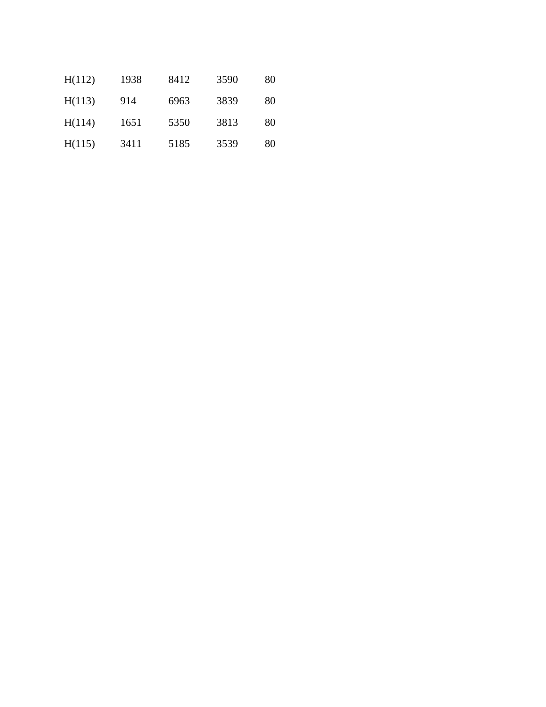| H(112) | 1938 | 8412 | 3590 | 80 |
|--------|------|------|------|----|
| H(113) | 914  | 6963 | 3839 | 80 |
| H(114) | 1651 | 5350 | 3813 | 80 |
| H(115) | 3411 | 5185 | 3539 | 80 |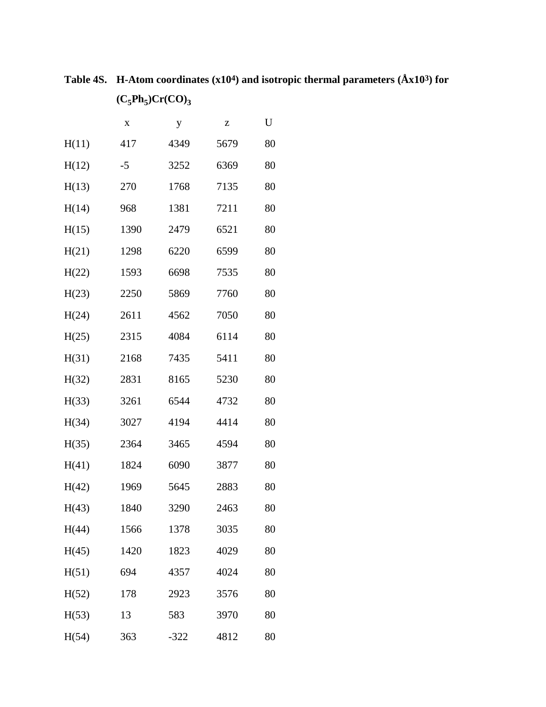**Table 4S. H-Atom coordinates (x104) and isotropic thermal parameters (Åx103) for**   $(C_5Ph_5)Cr(CO)_3$ 

|       | $\mathbf X$ | y      | Z    | U  |
|-------|-------------|--------|------|----|
| H(11) | 417         | 4349   | 5679 | 80 |
| H(12) | $-5$        | 3252   | 6369 | 80 |
| H(13) | 270         | 1768   | 7135 | 80 |
| H(14) | 968         | 1381   | 7211 | 80 |
| H(15) | 1390        | 2479   | 6521 | 80 |
| H(21) | 1298        | 6220   | 6599 | 80 |
| H(22) | 1593        | 6698   | 7535 | 80 |
| H(23) | 2250        | 5869   | 7760 | 80 |
| H(24) | 2611        | 4562   | 7050 | 80 |
| H(25) | 2315        | 4084   | 6114 | 80 |
| H(31) | 2168        | 7435   | 5411 | 80 |
| H(32) | 2831        | 8165   | 5230 | 80 |
| H(33) | 3261        | 6544   | 4732 | 80 |
| H(34) | 3027        | 4194   | 4414 | 80 |
| H(35) | 2364        | 3465   | 4594 | 80 |
| H(41) | 1824        | 6090   | 3877 | 80 |
| H(42) | 1969        | 5645   | 2883 | 80 |
| H(43) | 1840        | 3290   | 2463 | 80 |
| H(44) | 1566        | 1378   | 3035 | 80 |
| H(45) | 1420        | 1823   | 4029 | 80 |
| H(51) | 694         | 4357   | 4024 | 80 |
| H(52) | 178         | 2923   | 3576 | 80 |
| H(53) | 13          | 583    | 3970 | 80 |
| H(54) | 363         | $-322$ | 4812 | 80 |